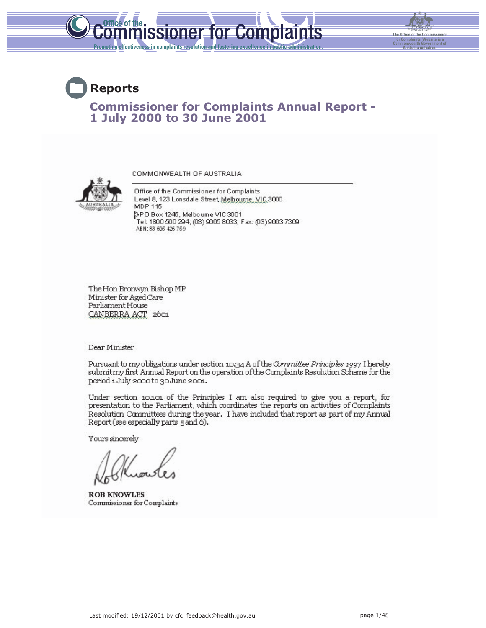



# **Reports Commissioner for Complaints Annual Report - 1 July 2000 to 30 June 2001**

COMMONWEALTH OF AUSTRALIA

Office of the Commissioner for Complaints Level 8, 123 Lonsdale Street, Melbourne, VIC 3000. MDP 115 SPO Box 1245, Melbourne VIC 3001 Tel: 1800 500 294, (03) 9665 8033, Fax: (03) 9663 7369 ABN:83 605 426 759

The Hon Bronwyn Bishop MP Minister for Aged Care Parliament House CANBERRA ACT 2601

Dear Minister

Pursuant to my obligations under section 10.34 A of the Committee Principles 1997 I hereby submitmy first Annual Report on the operation of the Complaints Resolution Scheme for the period 1 July 2000 to 30 June 2001.

Under section 10.101 of the Principles I am also required to give you a report, for presentation to the Parliament, which coordinates the reports on activities of Complaints Resolution Committees during the year. I have included that report as part of my Annual Report (see especially parts 5 and 6).

Yours sincerely

**ROB KNOWLES** Commissioner for Complaints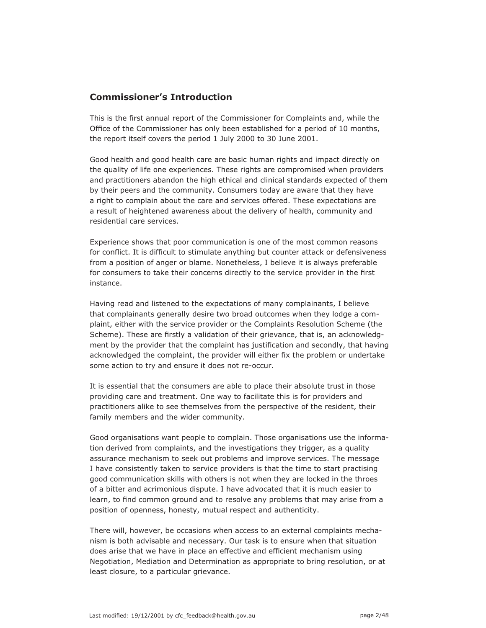# **Commissioner's Introduction**

This is the first annual report of the Commissioner for Complaints and, while the Office of the Commissioner has only been established for a period of 10 months, the report itself covers the period 1 July 2000 to 30 June 2001.

Good health and good health care are basic human rights and impact directly on the quality of life one experiences. These rights are compromised when providers and practitioners abandon the high ethical and clinical standards expected of them by their peers and the community. Consumers today are aware that they have a right to complain about the care and services offered. These expectations are a result of heightened awareness about the delivery of health, community and residential care services.

Experience shows that poor communication is one of the most common reasons for conflict. It is difficult to stimulate anything but counter attack or defensiveness from a position of anger or blame. Nonetheless, I believe it is always preferable for consumers to take their concerns directly to the service provider in the first instance.

Having read and listened to the expectations of many complainants, I believe that complainants generally desire two broad outcomes when they lodge a complaint, either with the service provider or the Complaints Resolution Scheme (the Scheme). These are firstly a validation of their grievance, that is, an acknowledgment by the provider that the complaint has justification and secondly, that having acknowledged the complaint, the provider will either fix the problem or undertake some action to try and ensure it does not re-occur.

It is essential that the consumers are able to place their absolute trust in those providing care and treatment. One way to facilitate this is for providers and practitioners alike to see themselves from the perspective of the resident, their family members and the wider community.

Good organisations want people to complain. Those organisations use the information derived from complaints, and the investigations they trigger, as a quality assurance mechanism to seek out problems and improve services. The message I have consistently taken to service providers is that the time to start practising good communication skills with others is not when they are locked in the throes of a bitter and acrimonious dispute. I have advocated that it is much easier to learn, to find common ground and to resolve any problems that may arise from a position of openness, honesty, mutual respect and authenticity.

There will, however, be occasions when access to an external complaints mechanism is both advisable and necessary. Our task is to ensure when that situation does arise that we have in place an effective and efficient mechanism using Negotiation, Mediation and Determination as appropriate to bring resolution, or at least closure, to a particular grievance.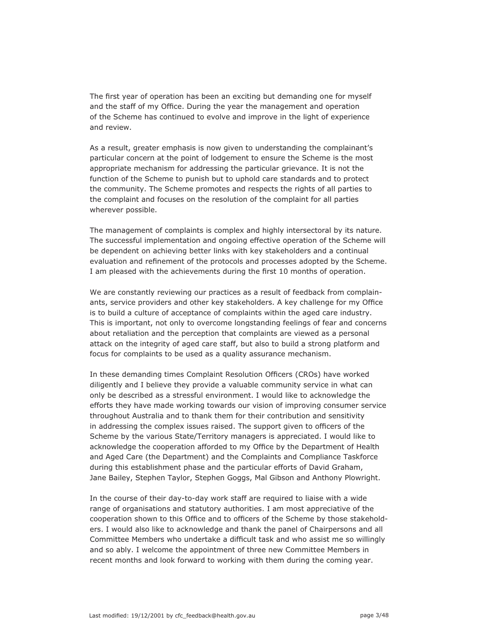The first year of operation has been an exciting but demanding one for myself and the staff of my Office. During the year the management and operation of the Scheme has continued to evolve and improve in the light of experience and review.

As a result, greater emphasis is now given to understanding the complainant's particular concern at the point of lodgement to ensure the Scheme is the most appropriate mechanism for addressing the particular grievance. It is not the function of the Scheme to punish but to uphold care standards and to protect the community. The Scheme promotes and respects the rights of all parties to the complaint and focuses on the resolution of the complaint for all parties wherever possible.

The management of complaints is complex and highly intersectoral by its nature. The successful implementation and ongoing effective operation of the Scheme will be dependent on achieving better links with key stakeholders and a continual evaluation and refinement of the protocols and processes adopted by the Scheme. I am pleased with the achievements during the first 10 months of operation.

We are constantly reviewing our practices as a result of feedback from complainants, service providers and other key stakeholders. A key challenge for my Office is to build a culture of acceptance of complaints within the aged care industry. This is important, not only to overcome longstanding feelings of fear and concerns about retaliation and the perception that complaints are viewed as a personal attack on the integrity of aged care staff, but also to build a strong platform and focus for complaints to be used as a quality assurance mechanism.

In these demanding times Complaint Resolution Officers (CROs) have worked diligently and I believe they provide a valuable community service in what can only be described as a stressful environment. I would like to acknowledge the efforts they have made working towards our vision of improving consumer service throughout Australia and to thank them for their contribution and sensitivity in addressing the complex issues raised. The support given to officers of the Scheme by the various State/Territory managers is appreciated. I would like to acknowledge the cooperation afforded to my Office by the Department of Health and Aged Care (the Department) and the Complaints and Compliance Taskforce during this establishment phase and the particular efforts of David Graham, Jane Bailey, Stephen Taylor, Stephen Goggs, Mal Gibson and Anthony Plowright.

In the course of their day-to-day work staff are required to liaise with a wide range of organisations and statutory authorities. I am most appreciative of the cooperation shown to this Office and to officers of the Scheme by those stakeholders. I would also like to acknowledge and thank the panel of Chairpersons and all Committee Members who undertake a difficult task and who assist me so willingly and so ably. I welcome the appointment of three new Committee Members in recent months and look forward to working with them during the coming year.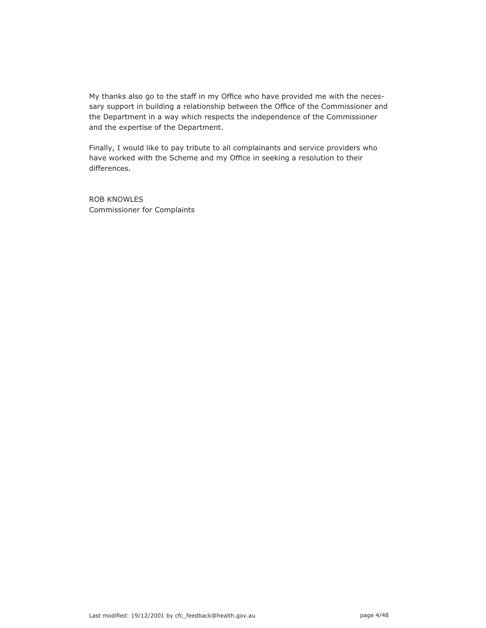My thanks also go to the staff in my Office who have provided me with the necessary support in building a relationship between the Office of the Commissioner and the Department in a way which respects the independence of the Commissioner and the expertise of the Department.

Finally, I would like to pay tribute to all complainants and service providers who have worked with the Scheme and my Office in seeking a resolution to their differences.

ROB KNOWLES Commissioner for Complaints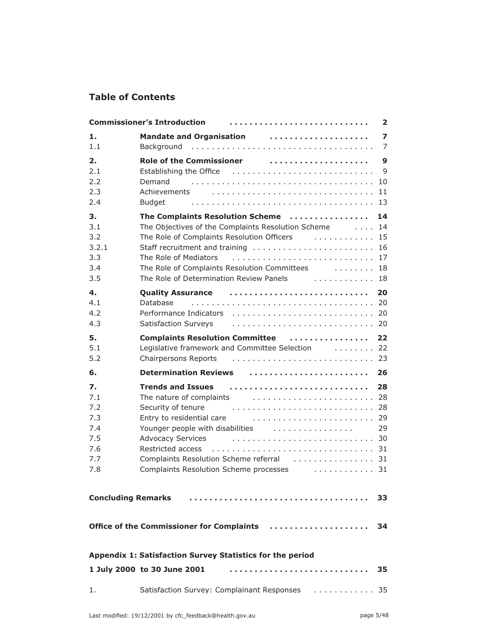# **Table of Contents**

| <b>Commissioner's Introduction</b><br>$\overline{\mathbf{2}}$ |                                                                                                                                                                                                                                                                                                                                                                    |  |  |  |
|---------------------------------------------------------------|--------------------------------------------------------------------------------------------------------------------------------------------------------------------------------------------------------------------------------------------------------------------------------------------------------------------------------------------------------------------|--|--|--|
| 1.<br>1.1                                                     | Mandate and Organisation (and all contains a series of the Mandate and Organisation<br>$\overline{\mathbf{z}}$<br>$\overline{7}$                                                                                                                                                                                                                                   |  |  |  |
| 2.<br>2.1<br>2.2<br>2.3<br>2.4                                | $\mathbf{9}$<br>Establishing the Office (Alternational Alternational Alternational Alternational Alternational Alternational A<br>Demand<br>Budget                                                                                                                                                                                                                 |  |  |  |
| 3.<br>3.1<br>3.2<br>3.2.1<br>3.3<br>3.4<br>3.5                | The Complaints Resolution Scheme<br>14<br>The Objectives of the Complaints Resolution Scheme 14<br>The Role of Complaints Resolution Officers  15<br>Staff recruitment and training  16<br>The Role of Mediators<br>The Role of Complaints Resolution Committees 18                                                                                                |  |  |  |
| 4.<br>4.1<br>4.2<br>4.3                                       | Quality Assurance (and all and the contract of the contract of the contract of the contract of the contract of<br>20<br>Database                                                                                                                                                                                                                                   |  |  |  |
| 5.<br>5.1<br>5.2                                              | 22<br>Legislative framework and Committee Selection [1, 1, 1, 1, 1, 22]                                                                                                                                                                                                                                                                                            |  |  |  |
| 6.                                                            | Determination Reviews  26                                                                                                                                                                                                                                                                                                                                          |  |  |  |
| 7.<br>7.1<br>7.2<br>7.3<br>7.4<br>7.5<br>7.6<br>7.7<br>7.8    | 28<br>Security of tenure<br>Entry to residential care <b>contact to the Carlo Contract Carlo Contract</b> 29<br>Younger people with disabilities [1, 1, 1, 1, 1, 1, 1, 1, 1, 1, 29]<br><b>Advocacy Services</b><br>Complaints Resolution Scheme referral [1, 1, 1, 1, 1, 1, 1, 1, 1, 1, 31]<br>Complaints Resolution Scheme processes [1, 1, 1, 1, 1, 1, 1, 1, 31] |  |  |  |
| <b>Concluding Remarks</b><br>33                               |                                                                                                                                                                                                                                                                                                                                                                    |  |  |  |
|                                                               | Office of the Commissioner for Complaints<br>34                                                                                                                                                                                                                                                                                                                    |  |  |  |
| Appendix 1: Satisfaction Survey Statistics for the period     |                                                                                                                                                                                                                                                                                                                                                                    |  |  |  |
|                                                               |                                                                                                                                                                                                                                                                                                                                                                    |  |  |  |
|                                                               | 35                                                                                                                                                                                                                                                                                                                                                                 |  |  |  |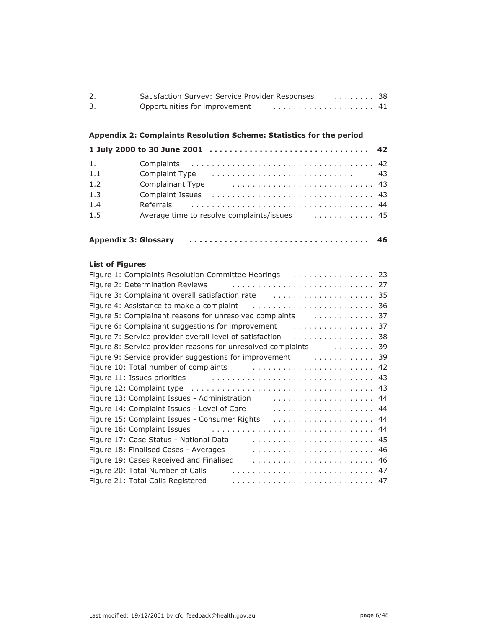| Satisfaction Survey: Service Provider Responses | . 38 |  |
|-------------------------------------------------|------|--|
| Opportunities for improvement                   |      |  |

# **Appendix 2: Complaints Resolution Scheme: Statistics for the period**

| 1.  |      |
|-----|------|
| 1.1 | - 43 |
| 1.2 |      |
| 1.3 |      |
| 1.4 |      |
| 1.5 |      |
|     |      |

| <b>Appendix 3: Glossary</b> |  | 46 |
|-----------------------------|--|----|
|-----------------------------|--|----|

## **List of Figures**

| Figure 2: Determination Reviews (exercise contained a set of the set of the set of the set of the set of the s                                                                                                                 |
|--------------------------------------------------------------------------------------------------------------------------------------------------------------------------------------------------------------------------------|
|                                                                                                                                                                                                                                |
|                                                                                                                                                                                                                                |
| Figure 5: Complainant reasons for unresolved complaints [1, 1, 1, 1, 1, 1, 1, 1, 37]                                                                                                                                           |
| Figure 6: Complainant suggestions for improvement<br>. 37                                                                                                                                                                      |
| Figure 7: Service provider overall level of satisfaction<br>. 38                                                                                                                                                               |
| Figure 8: Service provider reasons for unresolved complaints  39                                                                                                                                                               |
| Figure 9: Service provider suggestions for improvement containments and the service of the state of the state                                                                                                                  |
| Figure 10: Total number of complaints  42                                                                                                                                                                                      |
| Figure 11: Issues priorities entertainment contracts of the set of the set of the set of the set of the set of the set of the set of the set of the set of the set of the set of the set of the set of the set of the set of t |
|                                                                                                                                                                                                                                |
| Figure 13: Complaint Issues - Administration                                                                                                                                                                                   |
| Figure 14: Complaint Issues - Level of Care                                                                                                                                                                                    |
| Figure 15: Complaint Issues - Consumer Rights                                                                                                                                                                                  |
| Figure 16: Complaint Issues                                                                                                                                                                                                    |
| Figure 17: Case Status - National Data                                                                                                                                                                                         |
| Figure 18: Finalised Cases - Averages                                                                                                                                                                                          |
| Figure 19: Cases Received and Finalised                                                                                                                                                                                        |
| Figure 20: Total Number of Calls                                                                                                                                                                                               |
| Figure 21: Total Calls Registered                                                                                                                                                                                              |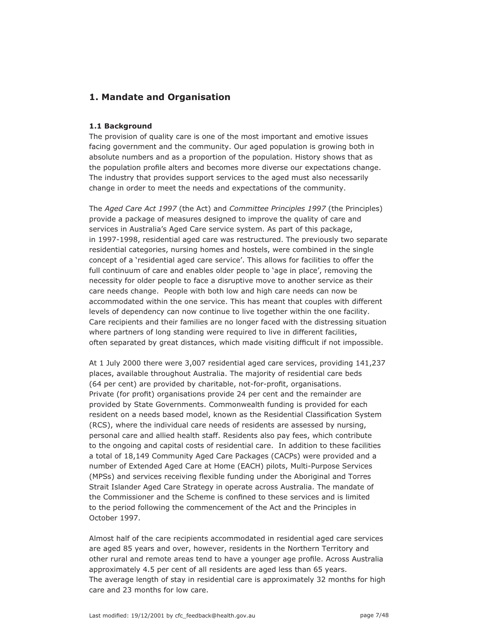# **1. Mandate and Organisation**

### **1.1 Background**

The provision of quality care is one of the most important and emotive issues facing government and the community. Our aged population is growing both in absolute numbers and as a proportion of the population. History shows that as the population profile alters and becomes more diverse our expectations change. The industry that provides support services to the aged must also necessarily change in order to meet the needs and expectations of the community.

The *Aged Care Act 1997* (the Act) and *Committee Principles 1997* (the Principles) provide a package of measures designed to improve the quality of care and services in Australia's Aged Care service system. As part of this package, in 1997-1998, residential aged care was restructured. The previously two separate residential categories, nursing homes and hostels, were combined in the single concept of a 'residential aged care service'. This allows for facilities to offer the full continuum of care and enables older people to 'age in place', removing the necessity for older people to face a disruptive move to another service as their care needs change. People with both low and high care needs can now be accommodated within the one service. This has meant that couples with different levels of dependency can now continue to live together within the one facility. Care recipients and their families are no longer faced with the distressing situation where partners of long standing were required to live in different facilities, often separated by great distances, which made visiting difficult if not impossible.

At 1 July 2000 there were 3,007 residential aged care services, providing 141,237 places, available throughout Australia. The majority of residential care beds (64 per cent) are provided by charitable, not-for-profit, organisations. Private (for profit) organisations provide 24 per cent and the remainder are provided by State Governments. Commonwealth funding is provided for each resident on a needs based model, known as the Residential Classification System (RCS), where the individual care needs of residents are assessed by nursing, personal care and allied health staff. Residents also pay fees, which contribute to the ongoing and capital costs of residential care. In addition to these facilities a total of 18,149 Community Aged Care Packages (CACPs) were provided and a number of Extended Aged Care at Home (EACH) pilots, Multi-Purpose Services (MPSs) and services receiving flexible funding under the Aboriginal and Torres Strait Islander Aged Care Strategy in operate across Australia. The mandate of the Commissioner and the Scheme is confined to these services and is limited to the period following the commencement of the Act and the Principles in October 1997.

Almost half of the care recipients accommodated in residential aged care services are aged 85 years and over, however, residents in the Northern Territory and other rural and remote areas tend to have a younger age profile. Across Australia approximately 4.5 per cent of all residents are aged less than 65 years. The average length of stay in residential care is approximately 32 months for high care and 23 months for low care.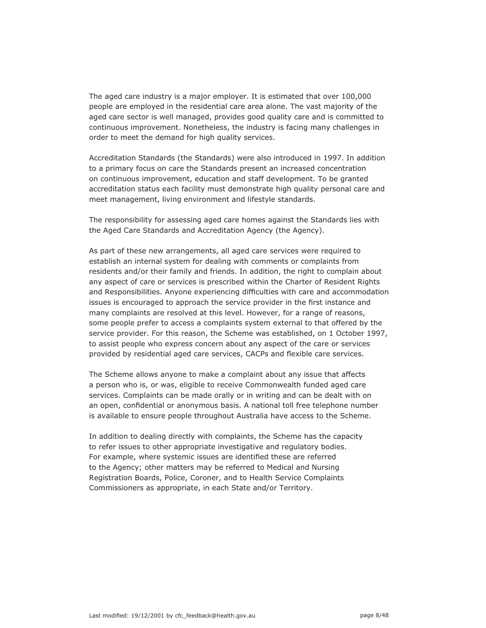The aged care industry is a major employer. It is estimated that over 100,000 people are employed in the residential care area alone. The vast majority of the aged care sector is well managed, provides good quality care and is committed to continuous improvement. Nonetheless, the industry is facing many challenges in order to meet the demand for high quality services.

Accreditation Standards (the Standards) were also introduced in 1997. In addition to a primary focus on care the Standards present an increased concentration on continuous improvement, education and staff development. To be granted accreditation status each facility must demonstrate high quality personal care and meet management, living environment and lifestyle standards.

The responsibility for assessing aged care homes against the Standards lies with the Aged Care Standards and Accreditation Agency (the Agency).

As part of these new arrangements, all aged care services were required to establish an internal system for dealing with comments or complaints from residents and/or their family and friends. In addition, the right to complain about any aspect of care or services is prescribed within the Charter of Resident Rights and Responsibilities. Anyone experiencing difficulties with care and accommodation issues is encouraged to approach the service provider in the first instance and many complaints are resolved at this level. However, for a range of reasons, some people prefer to access a complaints system external to that offered by the service provider. For this reason, the Scheme was established, on 1 October 1997, to assist people who express concern about any aspect of the care or services provided by residential aged care services, CACPs and flexible care services.

The Scheme allows anyone to make a complaint about any issue that affects a person who is, or was, eligible to receive Commonwealth funded aged care services. Complaints can be made orally or in writing and can be dealt with on an open, confidential or anonymous basis. A national toll free telephone number is available to ensure people throughout Australia have access to the Scheme.

In addition to dealing directly with complaints, the Scheme has the capacity to refer issues to other appropriate investigative and regulatory bodies. For example, where systemic issues are identified these are referred to the Agency; other matters may be referred to Medical and Nursing Registration Boards, Police, Coroner, and to Health Service Complaints Commissioners as appropriate, in each State and/or Territory.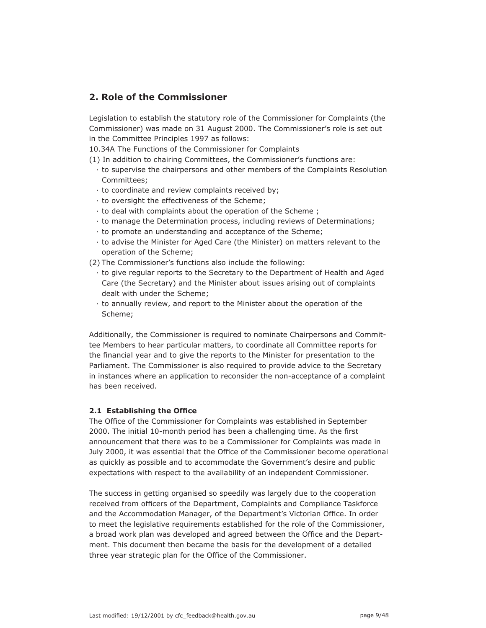# **2. Role of the Commissioner**

Legislation to establish the statutory role of the Commissioner for Complaints (the Commissioner) was made on 31 August 2000. The Commissioner's role is set out in the Committee Principles 1997 as follows:

10.34A The Functions of the Commissioner for Complaints

- (1) In addition to chairing Committees, the Commissioner's functions are:
	- · to supervise the chairpersons and other members of the Complaints Resolution Committees;
	- · to coordinate and review complaints received by;
	- · to oversight the effectiveness of the Scheme;
	- · to deal with complaints about the operation of the Scheme ;
	- · to manage the Determination process, including reviews of Determinations;
	- · to promote an understanding and acceptance of the Scheme;
	- · to advise the Minister for Aged Care (the Minister) on matters relevant to the operation of the Scheme;

(2) The Commissioner's functions also include the following:

- · to give regular reports to the Secretary to the Department of Health and Aged Care (the Secretary) and the Minister about issues arising out of complaints dealt with under the Scheme;
- · to annually review, and report to the Minister about the operation of the Scheme;

Additionally, the Commissioner is required to nominate Chairpersons and Committee Members to hear particular matters, to coordinate all Committee reports for the financial year and to give the reports to the Minister for presentation to the Parliament. The Commissioner is also required to provide advice to the Secretary in instances where an application to reconsider the non-acceptance of a complaint has been received.

## **2.1 Establishing the Office**

The Office of the Commissioner for Complaints was established in September 2000. The initial 10-month period has been a challenging time. As the first announcement that there was to be a Commissioner for Complaints was made in July 2000, it was essential that the Office of the Commissioner become operational as quickly as possible and to accommodate the Government's desire and public expectations with respect to the availability of an independent Commissioner.

The success in getting organised so speedily was largely due to the cooperation received from officers of the Department, Complaints and Compliance Taskforce and the Accommodation Manager, of the Department's Victorian Office. In order to meet the legislative requirements established for the role of the Commissioner, a broad work plan was developed and agreed between the Office and the Department. This document then became the basis for the development of a detailed three year strategic plan for the Office of the Commissioner.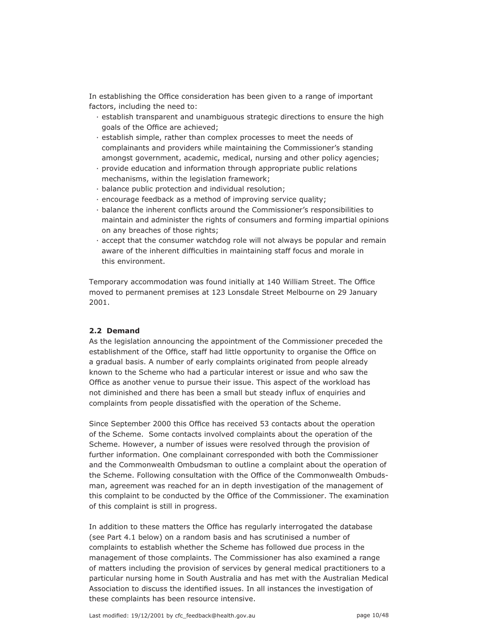In establishing the Office consideration has been given to a range of important factors, including the need to:

- · establish transparent and unambiguous strategic directions to ensure the high goals of the Office are achieved;
- · establish simple, rather than complex processes to meet the needs of complainants and providers while maintaining the Commissioner's standing amongst government, academic, medical, nursing and other policy agencies;
- · provide education and information through appropriate public relations mechanisms, within the legislation framework;
- · balance public protection and individual resolution;
- · encourage feedback as a method of improving service quality;
- · balance the inherent conflicts around the Commissioner's responsibilities to maintain and administer the rights of consumers and forming impartial opinions on any breaches of those rights;
- · accept that the consumer watchdog role will not always be popular and remain aware of the inherent difficulties in maintaining staff focus and morale in this environment.

Temporary accommodation was found initially at 140 William Street. The Office moved to permanent premises at 123 Lonsdale Street Melbourne on 29 January 2001.

#### **2.2 Demand**

As the legislation announcing the appointment of the Commissioner preceded the establishment of the Office, staff had little opportunity to organise the Office on a gradual basis. A number of early complaints originated from people already known to the Scheme who had a particular interest or issue and who saw the Office as another venue to pursue their issue. This aspect of the workload has not diminished and there has been a small but steady influx of enquiries and complaints from people dissatisfied with the operation of the Scheme.

Since September 2000 this Office has received 53 contacts about the operation of the Scheme. Some contacts involved complaints about the operation of the Scheme. However, a number of issues were resolved through the provision of further information. One complainant corresponded with both the Commissioner and the Commonwealth Ombudsman to outline a complaint about the operation of the Scheme. Following consultation with the Office of the Commonwealth Ombudsman, agreement was reached for an in depth investigation of the management of this complaint to be conducted by the Office of the Commissioner. The examination of this complaint is still in progress.

In addition to these matters the Office has regularly interrogated the database (see Part 4.1 below) on a random basis and has scrutinised a number of complaints to establish whether the Scheme has followed due process in the management of those complaints. The Commissioner has also examined a range of matters including the provision of services by general medical practitioners to a particular nursing home in South Australia and has met with the Australian Medical Association to discuss the identified issues. In all instances the investigation of these complaints has been resource intensive.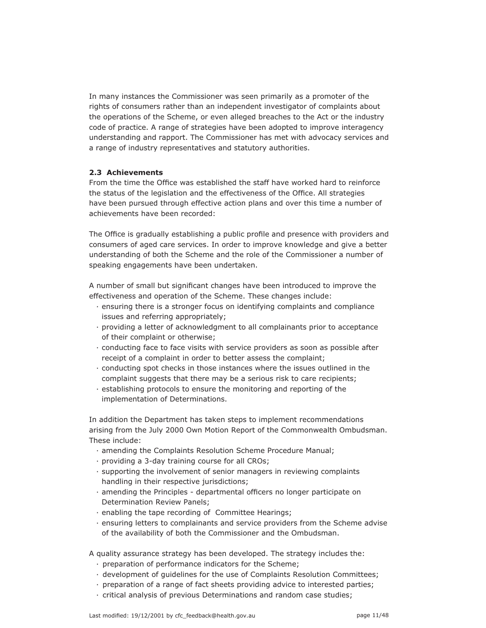In many instances the Commissioner was seen primarily as a promoter of the rights of consumers rather than an independent investigator of complaints about the operations of the Scheme, or even alleged breaches to the Act or the industry code of practice. A range of strategies have been adopted to improve interagency understanding and rapport. The Commissioner has met with advocacy services and a range of industry representatives and statutory authorities.

### **2.3 Achievements**

From the time the Office was established the staff have worked hard to reinforce the status of the legislation and the effectiveness of the Office. All strategies have been pursued through effective action plans and over this time a number of achievements have been recorded:

The Office is gradually establishing a public profile and presence with providers and consumers of aged care services. In order to improve knowledge and give a better understanding of both the Scheme and the role of the Commissioner a number of speaking engagements have been undertaken.

A number of small but significant changes have been introduced to improve the effectiveness and operation of the Scheme. These changes include:

- · ensuring there is a stronger focus on identifying complaints and compliance issues and referring appropriately;
- · providing a letter of acknowledgment to all complainants prior to acceptance of their complaint or otherwise;
- · conducting face to face visits with service providers as soon as possible after receipt of a complaint in order to better assess the complaint;
- · conducting spot checks in those instances where the issues outlined in the complaint suggests that there may be a serious risk to care recipients;
- · establishing protocols to ensure the monitoring and reporting of the implementation of Determinations.

In addition the Department has taken steps to implement recommendations arising from the July 2000 Own Motion Report of the Commonwealth Ombudsman. These include:

- · amending the Complaints Resolution Scheme Procedure Manual;
- · providing a 3-day training course for all CROs;
- · supporting the involvement of senior managers in reviewing complaints handling in their respective jurisdictions;
- · amending the Principles departmental officers no longer participate on Determination Review Panels;
- · enabling the tape recording of Committee Hearings;
- · ensuring letters to complainants and service providers from the Scheme advise of the availability of both the Commissioner and the Ombudsman.

A quality assurance strategy has been developed. The strategy includes the:

- · preparation of performance indicators for the Scheme;
- · development of guidelines for the use of Complaints Resolution Committees;
- · preparation of a range of fact sheets providing advice to interested parties;
- · critical analysis of previous Determinations and random case studies;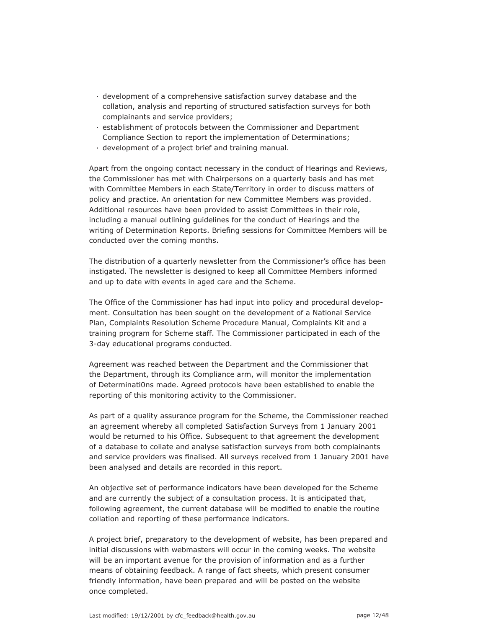- · development of a comprehensive satisfaction survey database and the collation, analysis and reporting of structured satisfaction surveys for both complainants and service providers;
- · establishment of protocols between the Commissioner and Department Compliance Section to report the implementation of Determinations;
- · development of a project brief and training manual.

Apart from the ongoing contact necessary in the conduct of Hearings and Reviews, the Commissioner has met with Chairpersons on a quarterly basis and has met with Committee Members in each State/Territory in order to discuss matters of policy and practice. An orientation for new Committee Members was provided. Additional resources have been provided to assist Committees in their role, including a manual outlining guidelines for the conduct of Hearings and the writing of Determination Reports. Briefing sessions for Committee Members will be conducted over the coming months.

The distribution of a quarterly newsletter from the Commissioner's office has been instigated. The newsletter is designed to keep all Committee Members informed and up to date with events in aged care and the Scheme.

The Office of the Commissioner has had input into policy and procedural development. Consultation has been sought on the development of a National Service Plan, Complaints Resolution Scheme Procedure Manual, Complaints Kit and a training program for Scheme staff. The Commissioner participated in each of the 3-day educational programs conducted.

Agreement was reached between the Department and the Commissioner that the Department, through its Compliance arm, will monitor the implementation of Determinati0ns made. Agreed protocols have been established to enable the reporting of this monitoring activity to the Commissioner.

As part of a quality assurance program for the Scheme, the Commissioner reached an agreement whereby all completed Satisfaction Surveys from 1 January 2001 would be returned to his Office. Subsequent to that agreement the development of a database to collate and analyse satisfaction surveys from both complainants and service providers was finalised. All surveys received from 1 January 2001 have been analysed and details are recorded in this report.

An objective set of performance indicators have been developed for the Scheme and are currently the subject of a consultation process. It is anticipated that, following agreement, the current database will be modified to enable the routine collation and reporting of these performance indicators.

A project brief, preparatory to the development of website, has been prepared and initial discussions with webmasters will occur in the coming weeks. The website will be an important avenue for the provision of information and as a further means of obtaining feedback. A range of fact sheets, which present consumer friendly information, have been prepared and will be posted on the website once completed.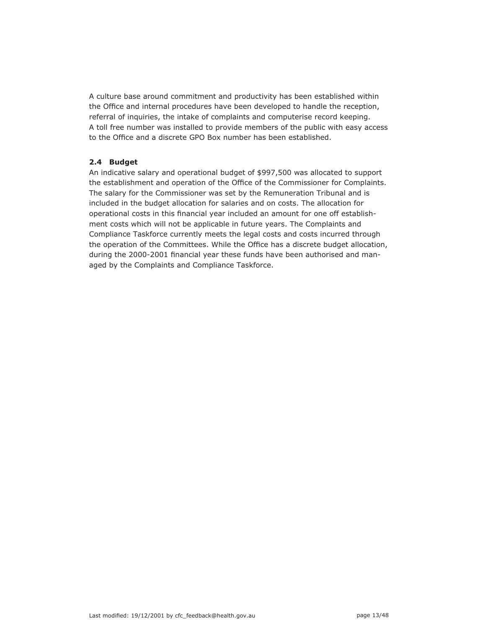A culture base around commitment and productivity has been established within the Office and internal procedures have been developed to handle the reception, referral of inquiries, the intake of complaints and computerise record keeping. A toll free number was installed to provide members of the public with easy access to the Office and a discrete GPO Box number has been established.

## **2.4 Budget**

An indicative salary and operational budget of \$997,500 was allocated to support the establishment and operation of the Office of the Commissioner for Complaints. The salary for the Commissioner was set by the Remuneration Tribunal and is included in the budget allocation for salaries and on costs. The allocation for operational costs in this financial year included an amount for one off establishment costs which will not be applicable in future years. The Complaints and Compliance Taskforce currently meets the legal costs and costs incurred through the operation of the Committees. While the Office has a discrete budget allocation, during the 2000-2001 financial year these funds have been authorised and managed by the Complaints and Compliance Taskforce.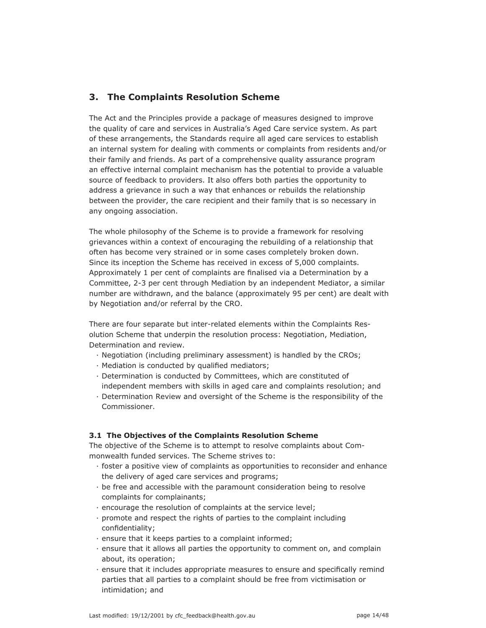# **3. The Complaints Resolution Scheme**

The Act and the Principles provide a package of measures designed to improve the quality of care and services in Australia's Aged Care service system. As part of these arrangements, the Standards require all aged care services to establish an internal system for dealing with comments or complaints from residents and/or their family and friends. As part of a comprehensive quality assurance program an effective internal complaint mechanism has the potential to provide a valuable source of feedback to providers. It also offers both parties the opportunity to address a grievance in such a way that enhances or rebuilds the relationship between the provider, the care recipient and their family that is so necessary in any ongoing association.

The whole philosophy of the Scheme is to provide a framework for resolving grievances within a context of encouraging the rebuilding of a relationship that often has become very strained or in some cases completely broken down. Since its inception the Scheme has received in excess of 5,000 complaints. Approximately 1 per cent of complaints are finalised via a Determination by a Committee, 2-3 per cent through Mediation by an independent Mediator, a similar number are withdrawn, and the balance (approximately 95 per cent) are dealt with by Negotiation and/or referral by the CRO.

There are four separate but inter-related elements within the Complaints Resolution Scheme that underpin the resolution process: Negotiation, Mediation, Determination and review.

- · Negotiation (including preliminary assessment) is handled by the CROs;
- · Mediation is conducted by qualified mediators;
- · Determination is conducted by Committees, which are constituted of independent members with skills in aged care and complaints resolution; and
- · Determination Review and oversight of the Scheme is the responsibility of the Commissioner.

## **3.1 The Objectives of the Complaints Resolution Scheme**

The objective of the Scheme is to attempt to resolve complaints about Commonwealth funded services. The Scheme strives to:

- · foster a positive view of complaints as opportunities to reconsider and enhance the delivery of aged care services and programs;
- · be free and accessible with the paramount consideration being to resolve complaints for complainants;
- · encourage the resolution of complaints at the service level;
- · promote and respect the rights of parties to the complaint including confidentiality;
- · ensure that it keeps parties to a complaint informed;
- · ensure that it allows all parties the opportunity to comment on, and complain about, its operation;
- $\cdot$  ensure that it includes appropriate measures to ensure and specifically remind parties that all parties to a complaint should be free from victimisation or intimidation; and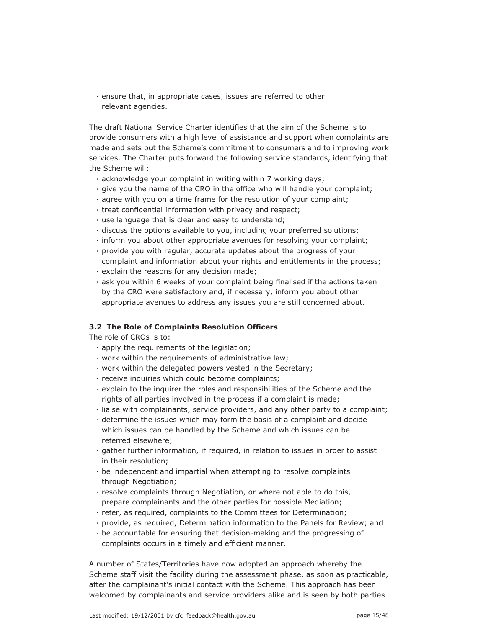· ensure that, in appropriate cases, issues are referred to other relevant agencies.

The draft National Service Charter identifies that the aim of the Scheme is to provide consumers with a high level of assistance and support when complaints are made and sets out the Scheme's commitment to consumers and to improving work services. The Charter puts forward the following service standards, identifying that the Scheme will:

- · acknowledge your complaint in writing within 7 working days;
- $\cdot$  give you the name of the CRO in the office who will handle your complaint;
- · agree with you on a time frame for the resolution of your complaint;
- $\cdot$  treat confidential information with privacy and respect;
- · use language that is clear and easy to understand;
- · discuss the options available to you, including your preferred solutions;
- · inform you about other appropriate avenues for resolving your complaint;
- · provide you with regular, accurate updates about the progress of your com plaint and information about your rights and entitlements in the process;
- · explain the reasons for any decision made;
- $\cdot$  ask you within 6 weeks of your complaint being finalised if the actions taken by the CRO were satisfactory and, if necessary, inform you about other appropriate avenues to address any issues you are still concerned about.

### **3.2 The Role of Complaints Resolution Officers**

The role of CROs is to:

- · apply the requirements of the legislation;
- · work within the requirements of administrative law;
- · work within the delegated powers vested in the Secretary;
- · receive inquiries which could become complaints;
- · explain to the inquirer the roles and responsibilities of the Scheme and the rights of all parties involved in the process if a complaint is made;
- · liaise with complainants, service providers, and any other party to a complaint;
- · determine the issues which may form the basis of a complaint and decide which issues can be handled by the Scheme and which issues can be referred elsewhere;
- · gather further information, if required, in relation to issues in order to assist in their resolution;
- · be independent and impartial when attempting to resolve complaints through Negotiation;
- · resolve complaints through Negotiation, or where not able to do this, prepare complainants and the other parties for possible Mediation;
- · refer, as required, complaints to the Committees for Determination;
- · provide, as required, Determination information to the Panels for Review; and
- · be accountable for ensuring that decision-making and the progressing of complaints occurs in a timely and efficient manner.

A number of States/Territories have now adopted an approach whereby the Scheme staff visit the facility during the assessment phase, as soon as practicable, after the complainant's initial contact with the Scheme. This approach has been welcomed by complainants and service providers alike and is seen by both parties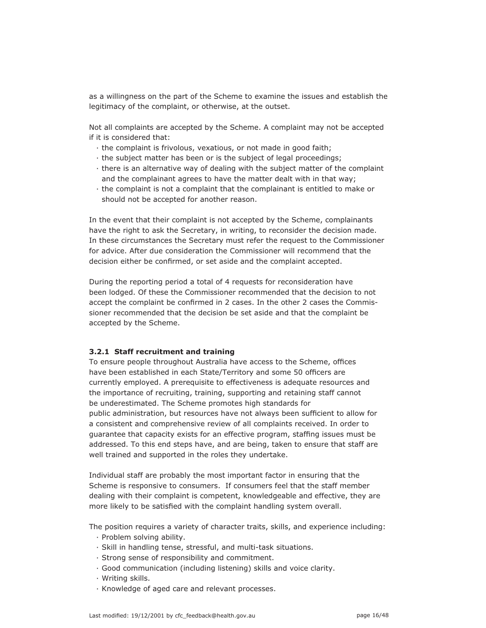as a willingness on the part of the Scheme to examine the issues and establish the legitimacy of the complaint, or otherwise, at the outset.

Not all complaints are accepted by the Scheme. A complaint may not be accepted if it is considered that:

- · the complaint is frivolous, vexatious, or not made in good faith;
- · the subject matter has been or is the subject of legal proceedings;
- · there is an alternative way of dealing with the subject matter of the complaint and the complainant agrees to have the matter dealt with in that way;
- · the complaint is not a complaint that the complainant is entitled to make or should not be accepted for another reason.

In the event that their complaint is not accepted by the Scheme, complainants have the right to ask the Secretary, in writing, to reconsider the decision made. In these circumstances the Secretary must refer the request to the Commissioner for advice. After due consideration the Commissioner will recommend that the decision either be confirmed, or set aside and the complaint accepted.

During the reporting period a total of 4 requests for reconsideration have been lodged. Of these the Commissioner recommended that the decision to not accept the complaint be confirmed in 2 cases. In the other 2 cases the Commissioner recommended that the decision be set aside and that the complaint be accepted by the Scheme.

#### **3.2.1 Staff recruitment and training**

To ensure people throughout Australia have access to the Scheme, offices have been established in each State/Territory and some 50 officers are currently employed. A prerequisite to effectiveness is adequate resources and the importance of recruiting, training, supporting and retaining staff cannot be underestimated. The Scheme promotes high standards for public administration, but resources have not always been sufficient to allow for a consistent and comprehensive review of all complaints received. In order to guarantee that capacity exists for an effective program, staffing issues must be addressed. To this end steps have, and are being, taken to ensure that staff are well trained and supported in the roles they undertake.

Individual staff are probably the most important factor in ensuring that the Scheme is responsive to consumers. If consumers feel that the staff member dealing with their complaint is competent, knowledgeable and effective, they are more likely to be satisfied with the complaint handling system overall.

The position requires a variety of character traits, skills, and experience including:

- · Problem solving ability.
- · Skill in handling tense, stressful, and multi-task situations.
- · Strong sense of responsibility and commitment.
- · Good communication (including listening) skills and voice clarity.
- · Writing skills.
- · Knowledge of aged care and relevant processes.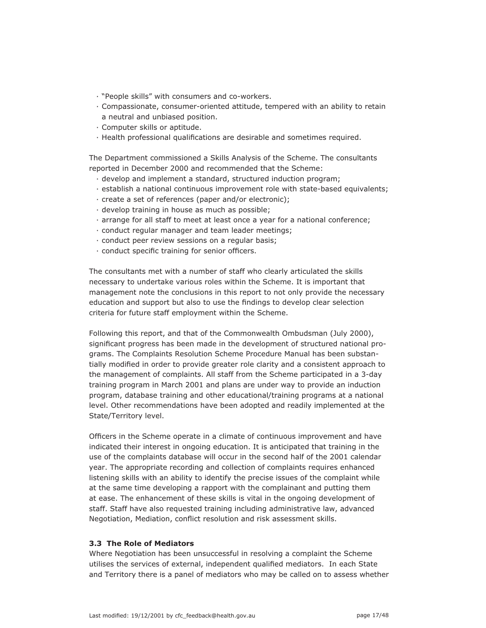- · "People skills" with consumers and co-workers.
- · Compassionate, consumer-oriented attitude, tempered with an ability to retain a neutral and unbiased position.
- · Computer skills or aptitude.
- · Health professional qualifi cations are desirable and sometimes required.

The Department commissioned a Skills Analysis of the Scheme. The consultants reported in December 2000 and recommended that the Scheme:

- · develop and implement a standard, structured induction program;
- · establish a national continuous improvement role with state-based equivalents;
- · create a set of references (paper and/or electronic);
- · develop training in house as much as possible;
- · arrange for all staff to meet at least once a year for a national conference;
- · conduct regular manager and team leader meetings;
- · conduct peer review sessions on a regular basis;
- $\cdot$  conduct specific training for senior officers.

The consultants met with a number of staff who clearly articulated the skills necessary to undertake various roles within the Scheme. It is important that management note the conclusions in this report to not only provide the necessary education and support but also to use the findings to develop clear selection criteria for future staff employment within the Scheme.

Following this report, and that of the Commonwealth Ombudsman (July 2000), significant progress has been made in the development of structured national programs. The Complaints Resolution Scheme Procedure Manual has been substantially modified in order to provide greater role clarity and a consistent approach to the management of complaints. All staff from the Scheme participated in a 3-day training program in March 2001 and plans are under way to provide an induction program, database training and other educational/training programs at a national level. Other recommendations have been adopted and readily implemented at the State/Territory level.

Officers in the Scheme operate in a climate of continuous improvement and have indicated their interest in ongoing education. It is anticipated that training in the use of the complaints database will occur in the second half of the 2001 calendar year. The appropriate recording and collection of complaints requires enhanced listening skills with an ability to identify the precise issues of the complaint while at the same time developing a rapport with the complainant and putting them at ease. The enhancement of these skills is vital in the ongoing development of staff. Staff have also requested training including administrative law, advanced Negotiation, Mediation, conflict resolution and risk assessment skills.

## **3.3 The Role of Mediators**

Where Negotiation has been unsuccessful in resolving a complaint the Scheme utilises the services of external, independent qualified mediators. In each State and Territory there is a panel of mediators who may be called on to assess whether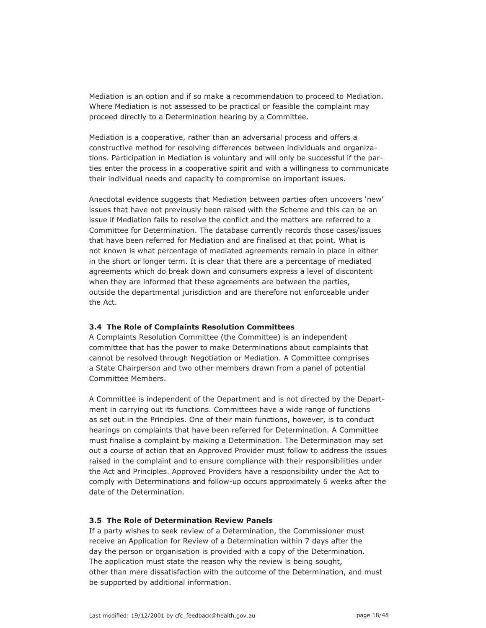Mediation is an option and if so make a recommendation to proceed to Mediation. Where Mediation is not assessed to be practical or feasible the complaint may proceed directly to a Determination hearing by a Committee.

Mediation is a cooperative, rather than an adversarial process and offers a constructive method for resolving differences between individuals and organizations. Participation in Mediation is voluntary and will only be successful if the parties enter the process in a cooperative spirit and with a willingness to communicate their individual needs and capacity to compromise on important issues.

Anecdotal evidence suggests that Mediation between parties often uncovers 'new' issues that have not previously been raised with the Scheme and this can be an issue if Mediation fails to resolve the conflict and the matters are referred to a Committee for Determination. The database currently records those cases/issues that have been referred for Mediation and are finalised at that point. What is not known is what percentage of mediated agreements remain in place in either in the short or longer term. It is clear that there are a percentage of mediated agreements which do break down and consumers express a level of discontent when they are informed that these agreements are between the parties, outside the departmental jurisdiction and are therefore not enforceable under the Act.

#### **3.4 The Role of Complaints Resolution Committees**

A Complaints Resolution Committee (the Committee) is an independent committee that has the power to make Determinations about complaints that cannot be resolved through Negotiation or Mediation. A Committee comprises a State Chairperson and two other members drawn from a panel of potential Committee Members.

A Committee is independent of the Department and is not directed by the Department in carrying out its functions. Committees have a wide range of functions as set out in the Principles. One of their main functions, however, is to conduct hearings on complaints that have been referred for Determination. A Committee must finalise a complaint by making a Determination. The Determination may set out a course of action that an Approved Provider must follow to address the issues raised in the complaint and to ensure compliance with their responsibilities under the Act and Principles. Approved Providers have a responsibility under the Act to comply with Determinations and follow-up occurs approximately 6 weeks after the date of the Determination.

#### **3.5 The Role of Determination Review Panels**

If a party wishes to seek review of a Determination, the Commissioner must receive an Application for Review of a Determination within 7 days after the day the person or organisation is provided with a copy of the Determination. The application must state the reason why the review is being sought, other than mere dissatisfaction with the outcome of the Determination, and must be supported by additional information.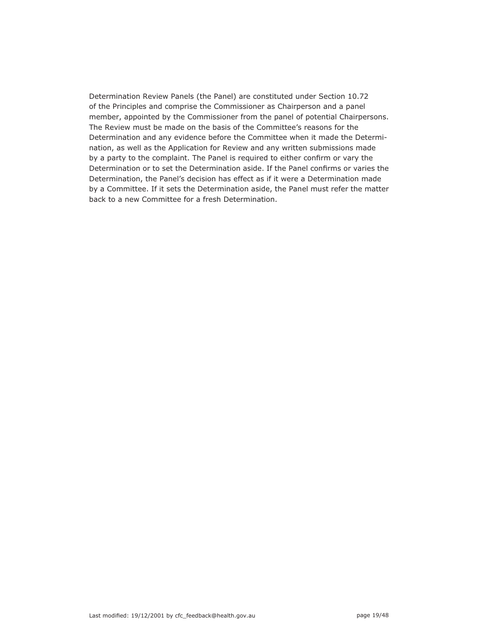Determination Review Panels (the Panel) are constituted under Section 10.72 of the Principles and comprise the Commissioner as Chairperson and a panel member, appointed by the Commissioner from the panel of potential Chairpersons. The Review must be made on the basis of the Committee's reasons for the Determination and any evidence before the Committee when it made the Determination, as well as the Application for Review and any written submissions made by a party to the complaint. The Panel is required to either confirm or vary the Determination or to set the Determination aside. If the Panel confirms or varies the Determination, the Panel's decision has effect as if it were a Determination made by a Committee. If it sets the Determination aside, the Panel must refer the matter back to a new Committee for a fresh Determination.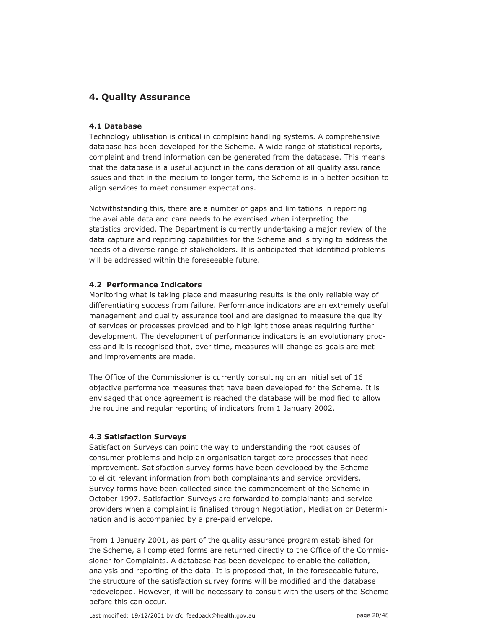# **4. Quality Assurance**

### **4.1 Database**

Technology utilisation is critical in complaint handling systems. A comprehensive database has been developed for the Scheme. A wide range of statistical reports, complaint and trend information can be generated from the database. This means that the database is a useful adjunct in the consideration of all quality assurance issues and that in the medium to longer term, the Scheme is in a better position to align services to meet consumer expectations.

Notwithstanding this, there are a number of gaps and limitations in reporting the available data and care needs to be exercised when interpreting the statistics provided. The Department is currently undertaking a major review of the data capture and reporting capabilities for the Scheme and is trying to address the needs of a diverse range of stakeholders. It is anticipated that identified problems will be addressed within the foreseeable future.

#### **4.2 Performance Indicators**

Monitoring what is taking place and measuring results is the only reliable way of differentiating success from failure. Performance indicators are an extremely useful management and quality assurance tool and are designed to measure the quality of services or processes provided and to highlight those areas requiring further development. The development of performance indicators is an evolutionary process and it is recognised that, over time, measures will change as goals are met and improvements are made.

The Office of the Commissioner is currently consulting on an initial set of 16 objective performance measures that have been developed for the Scheme. It is envisaged that once agreement is reached the database will be modified to allow the routine and regular reporting of indicators from 1 January 2002.

#### **4.3 Satisfaction Surveys**

Satisfaction Surveys can point the way to understanding the root causes of consumer problems and help an organisation target core processes that need improvement. Satisfaction survey forms have been developed by the Scheme to elicit relevant information from both complainants and service providers. Survey forms have been collected since the commencement of the Scheme in October 1997. Satisfaction Surveys are forwarded to complainants and service providers when a complaint is finalised through Negotiation, Mediation or Determination and is accompanied by a pre-paid envelope.

From 1 January 2001, as part of the quality assurance program established for the Scheme, all completed forms are returned directly to the Office of the Commissioner for Complaints. A database has been developed to enable the collation, analysis and reporting of the data. It is proposed that, in the foreseeable future, the structure of the satisfaction survey forms will be modified and the database redeveloped. However, it will be necessary to consult with the users of the Scheme before this can occur.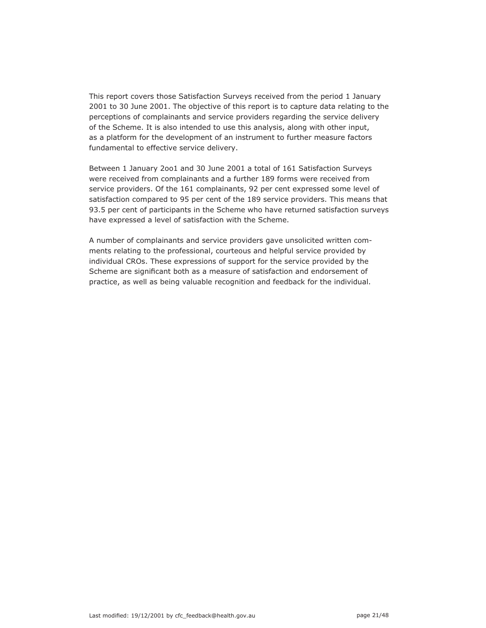This report covers those Satisfaction Surveys received from the period 1 January 2001 to 30 June 2001. The objective of this report is to capture data relating to the perceptions of complainants and service providers regarding the service delivery of the Scheme. It is also intended to use this analysis, along with other input, as a platform for the development of an instrument to further measure factors fundamental to effective service delivery.

Between 1 January 2oo1 and 30 June 2001 a total of 161 Satisfaction Surveys were received from complainants and a further 189 forms were received from service providers. Of the 161 complainants, 92 per cent expressed some level of satisfaction compared to 95 per cent of the 189 service providers. This means that 93.5 per cent of participants in the Scheme who have returned satisfaction surveys have expressed a level of satisfaction with the Scheme.

A number of complainants and service providers gave unsolicited written comments relating to the professional, courteous and helpful service provided by individual CROs. These expressions of support for the service provided by the Scheme are significant both as a measure of satisfaction and endorsement of practice, as well as being valuable recognition and feedback for the individual.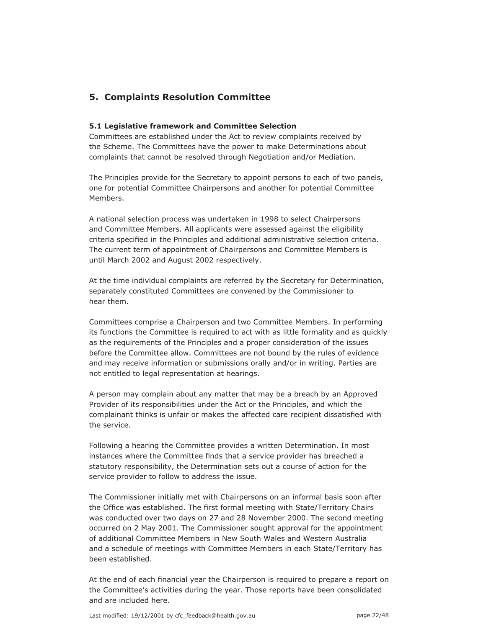# **5. Complaints Resolution Committee**

### **5.1 Legislative framework and Committee Selection**

Committees are established under the Act to review complaints received by the Scheme. The Committees have the power to make Determinations about complaints that cannot be resolved through Negotiation and/or Mediation.

The Principles provide for the Secretary to appoint persons to each of two panels, one for potential Committee Chairpersons and another for potential Committee Members.

A national selection process was undertaken in 1998 to select Chairpersons and Committee Members. All applicants were assessed against the eligibility criteria specified in the Principles and additional administrative selection criteria. The current term of appointment of Chairpersons and Committee Members is until March 2002 and August 2002 respectively.

At the time individual complaints are referred by the Secretary for Determination, separately constituted Committees are convened by the Commissioner to hear them.

Committees comprise a Chairperson and two Committee Members. In performing its functions the Committee is required to act with as little formality and as quickly as the requirements of the Principles and a proper consideration of the issues before the Committee allow. Committees are not bound by the rules of evidence and may receive information or submissions orally and/or in writing. Parties are not entitled to legal representation at hearings.

A person may complain about any matter that may be a breach by an Approved Provider of its responsibilities under the Act or the Principles, and which the complainant thinks is unfair or makes the affected care recipient dissatisfied with the service.

Following a hearing the Committee provides a written Determination. In most instances where the Committee finds that a service provider has breached a statutory responsibility, the Determination sets out a course of action for the service provider to follow to address the issue.

The Commissioner initially met with Chairpersons on an informal basis soon after the Office was established. The first formal meeting with State/Territory Chairs was conducted over two days on 27 and 28 November 2000. The second meeting occurred on 2 May 2001. The Commissioner sought approval for the appointment of additional Committee Members in New South Wales and Western Australia and a schedule of meetings with Committee Members in each State/Territory has been established.

At the end of each financial year the Chairperson is required to prepare a report on the Committee's activities during the year. Those reports have been consolidated and are included here.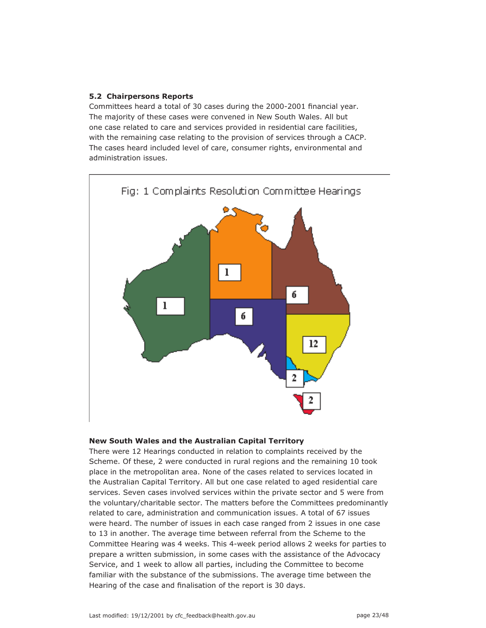### **5.2 Chairpersons Reports**

Committees heard a total of 30 cases during the 2000-2001 financial year. The majority of these cases were convened in New South Wales. All but one case related to care and services provided in residential care facilities, with the remaining case relating to the provision of services through a CACP. The cases heard included level of care, consumer rights, environmental and administration issues.



#### **New South Wales and the Australian Capital Territory**

There were 12 Hearings conducted in relation to complaints received by the Scheme. Of these, 2 were conducted in rural regions and the remaining 10 took place in the metropolitan area. None of the cases related to services located in the Australian Capital Territory. All but one case related to aged residential care services. Seven cases involved services within the private sector and 5 were from the voluntary/charitable sector. The matters before the Committees predominantly related to care, administration and communication issues. A total of 67 issues were heard. The number of issues in each case ranged from 2 issues in one case to 13 in another. The average time between referral from the Scheme to the Committee Hearing was 4 weeks. This 4-week period allows 2 weeks for parties to prepare a written submission, in some cases with the assistance of the Advocacy Service, and 1 week to allow all parties, including the Committee to become familiar with the substance of the submissions. The average time between the Hearing of the case and finalisation of the report is 30 days.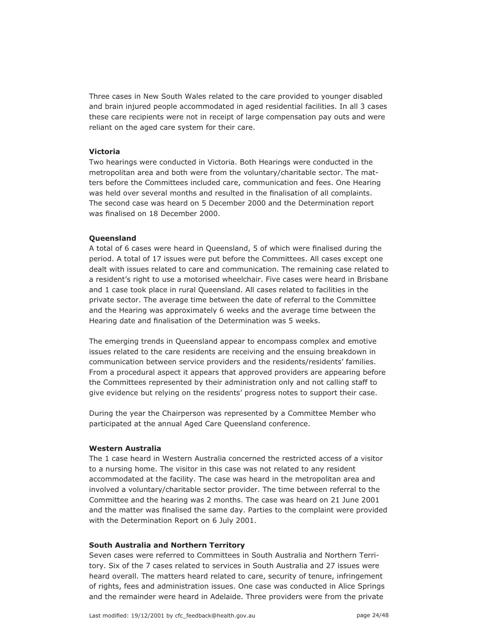Three cases in New South Wales related to the care provided to younger disabled and brain injured people accommodated in aged residential facilities. In all 3 cases these care recipients were not in receipt of large compensation pay outs and were reliant on the aged care system for their care.

#### **Victoria**

Two hearings were conducted in Victoria. Both Hearings were conducted in the metropolitan area and both were from the voluntary/charitable sector. The matters before the Committees included care, communication and fees. One Hearing was held over several months and resulted in the finalisation of all complaints. The second case was heard on 5 December 2000 and the Determination report was finalised on 18 December 2000.

#### **Queensland**

A total of 6 cases were heard in Queensland, 5 of which were finalised during the period. A total of 17 issues were put before the Committees. All cases except one dealt with issues related to care and communication. The remaining case related to a resident's right to use a motorised wheelchair. Five cases were heard in Brisbane and 1 case took place in rural Queensland. All cases related to facilities in the private sector. The average time between the date of referral to the Committee and the Hearing was approximately 6 weeks and the average time between the Hearing date and finalisation of the Determination was 5 weeks.

The emerging trends in Queensland appear to encompass complex and emotive issues related to the care residents are receiving and the ensuing breakdown in communication between service providers and the residents/residents' families. From a procedural aspect it appears that approved providers are appearing before the Committees represented by their administration only and not calling staff to give evidence but relying on the residents' progress notes to support their case.

During the year the Chairperson was represented by a Committee Member who participated at the annual Aged Care Queensland conference.

#### **Western Australia**

The 1 case heard in Western Australia concerned the restricted access of a visitor to a nursing home. The visitor in this case was not related to any resident accommodated at the facility. The case was heard in the metropolitan area and involved a voluntary/charitable sector provider. The time between referral to the Committee and the hearing was 2 months. The case was heard on 21 June 2001 and the matter was finalised the same day. Parties to the complaint were provided with the Determination Report on 6 July 2001.

#### **South Australia and Northern Territory**

Seven cases were referred to Committees in South Australia and Northern Territory. Six of the 7 cases related to services in South Australia and 27 issues were heard overall. The matters heard related to care, security of tenure, infringement of rights, fees and administration issues. One case was conducted in Alice Springs and the remainder were heard in Adelaide. Three providers were from the private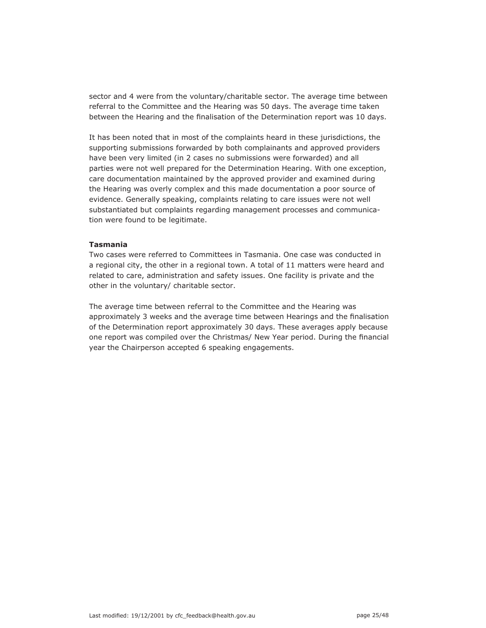sector and 4 were from the voluntary/charitable sector. The average time between referral to the Committee and the Hearing was 50 days. The average time taken between the Hearing and the finalisation of the Determination report was 10 days.

It has been noted that in most of the complaints heard in these jurisdictions, the supporting submissions forwarded by both complainants and approved providers have been very limited (in 2 cases no submissions were forwarded) and all parties were not well prepared for the Determination Hearing. With one exception, care documentation maintained by the approved provider and examined during the Hearing was overly complex and this made documentation a poor source of evidence. Generally speaking, complaints relating to care issues were not well substantiated but complaints regarding management processes and communication were found to be legitimate.

#### **Tasmania**

Two cases were referred to Committees in Tasmania. One case was conducted in a regional city, the other in a regional town. A total of 11 matters were heard and related to care, administration and safety issues. One facility is private and the other in the voluntary/ charitable sector.

The average time between referral to the Committee and the Hearing was approximately 3 weeks and the average time between Hearings and the finalisation of the Determination report approximately 30 days. These averages apply because one report was compiled over the Christmas/ New Year period. During the financial year the Chairperson accepted 6 speaking engagements.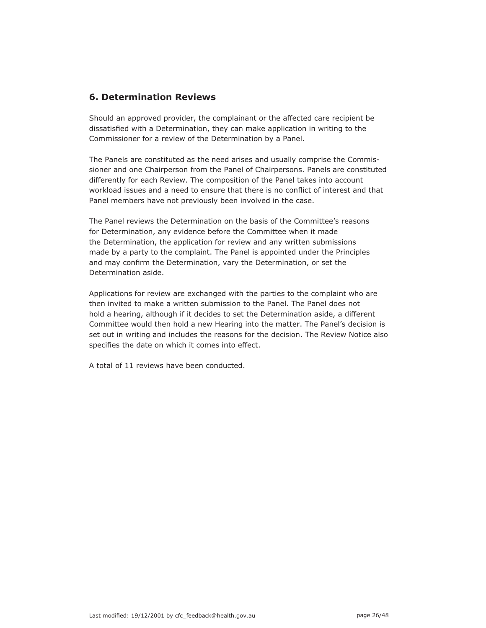# **6. Determination Reviews**

Should an approved provider, the complainant or the affected care recipient be dissatisfied with a Determination, they can make application in writing to the Commissioner for a review of the Determination by a Panel.

The Panels are constituted as the need arises and usually comprise the Commissioner and one Chairperson from the Panel of Chairpersons. Panels are constituted differently for each Review. The composition of the Panel takes into account workload issues and a need to ensure that there is no conflict of interest and that Panel members have not previously been involved in the case.

The Panel reviews the Determination on the basis of the Committee's reasons for Determination, any evidence before the Committee when it made the Determination, the application for review and any written submissions made by a party to the complaint. The Panel is appointed under the Principles and may confirm the Determination, vary the Determination, or set the Determination aside.

Applications for review are exchanged with the parties to the complaint who are then invited to make a written submission to the Panel. The Panel does not hold a hearing, although if it decides to set the Determination aside, a different Committee would then hold a new Hearing into the matter. The Panel's decision is set out in writing and includes the reasons for the decision. The Review Notice also specifies the date on which it comes into effect.

A total of 11 reviews have been conducted.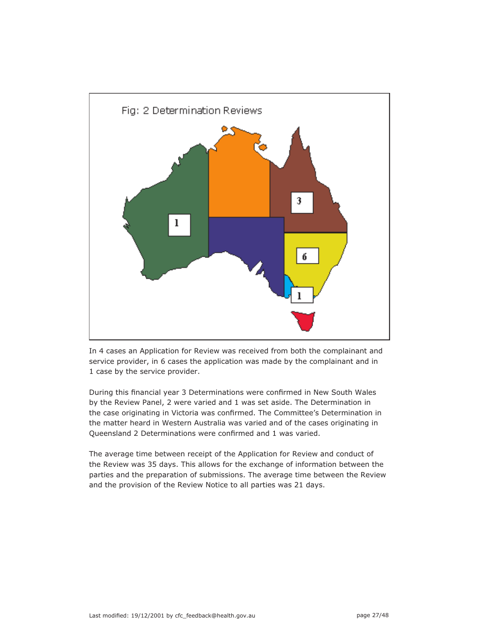

In 4 cases an Application for Review was received from both the complainant and service provider, in 6 cases the application was made by the complainant and in 1 case by the service provider.

During this financial year 3 Determinations were confirmed in New South Wales by the Review Panel, 2 were varied and 1 was set aside. The Determination in the case originating in Victoria was confirmed. The Committee's Determination in the matter heard in Western Australia was varied and of the cases originating in Queensland 2 Determinations were confirmed and 1 was varied.

The average time between receipt of the Application for Review and conduct of the Review was 35 days. This allows for the exchange of information between the parties and the preparation of submissions. The average time between the Review and the provision of the Review Notice to all parties was 21 days.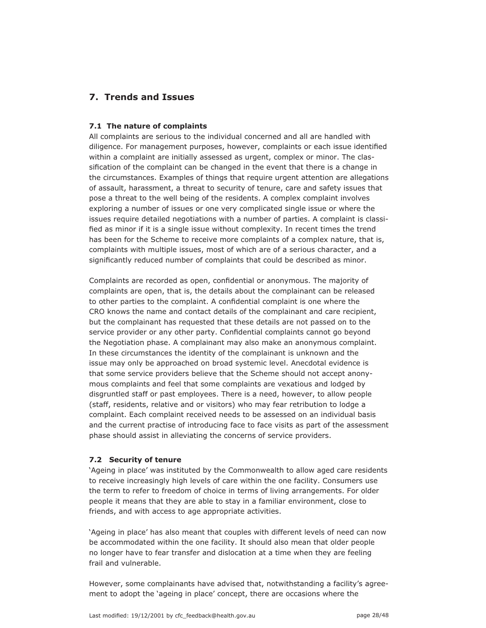# **7. Trends and Issues**

#### **7.1 The nature of complaints**

All complaints are serious to the individual concerned and all are handled with diligence. For management purposes, however, complaints or each issue identified within a complaint are initially assessed as urgent, complex or minor. The classification of the complaint can be changed in the event that there is a change in the circumstances. Examples of things that require urgent attention are allegations of assault, harassment, a threat to security of tenure, care and safety issues that pose a threat to the well being of the residents. A complex complaint involves exploring a number of issues or one very complicated single issue or where the issues require detailed negotiations with a number of parties. A complaint is classified as minor if it is a single issue without complexity. In recent times the trend has been for the Scheme to receive more complaints of a complex nature, that is, complaints with multiple issues, most of which are of a serious character, and a significantly reduced number of complaints that could be described as minor.

Complaints are recorded as open, confidential or anonymous. The majority of complaints are open, that is, the details about the complainant can be released to other parties to the complaint. A confidential complaint is one where the CRO knows the name and contact details of the complainant and care recipient, but the complainant has requested that these details are not passed on to the service provider or any other party. Confidential complaints cannot go beyond the Negotiation phase. A complainant may also make an anonymous complaint. In these circumstances the identity of the complainant is unknown and the issue may only be approached on broad systemic level. Anecdotal evidence is that some service providers believe that the Scheme should not accept anonymous complaints and feel that some complaints are vexatious and lodged by disgruntled staff or past employees. There is a need, however, to allow people (staff, residents, relative and or visitors) who may fear retribution to lodge a complaint. Each complaint received needs to be assessed on an individual basis and the current practise of introducing face to face visits as part of the assessment phase should assist in alleviating the concerns of service providers.

## **7.2 Security of tenure**

'Ageing in place' was instituted by the Commonwealth to allow aged care residents to receive increasingly high levels of care within the one facility. Consumers use the term to refer to freedom of choice in terms of living arrangements. For older people it means that they are able to stay in a familiar environment, close to friends, and with access to age appropriate activities.

'Ageing in place' has also meant that couples with different levels of need can now be accommodated within the one facility. It should also mean that older people no longer have to fear transfer and dislocation at a time when they are feeling frail and vulnerable.

However, some complainants have advised that, notwithstanding a facility's agreement to adopt the 'ageing in place' concept, there are occasions where the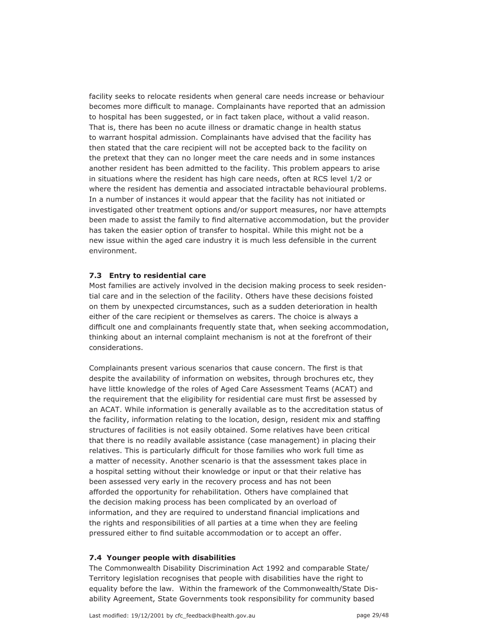facility seeks to relocate residents when general care needs increase or behaviour becomes more difficult to manage. Complainants have reported that an admission to hospital has been suggested, or in fact taken place, without a valid reason. That is, there has been no acute illness or dramatic change in health status to warrant hospital admission. Complainants have advised that the facility has then stated that the care recipient will not be accepted back to the facility on the pretext that they can no longer meet the care needs and in some instances another resident has been admitted to the facility. This problem appears to arise in situations where the resident has high care needs, often at RCS level 1/2 or where the resident has dementia and associated intractable behavioural problems. In a number of instances it would appear that the facility has not initiated or investigated other treatment options and/or support measures, nor have attempts been made to assist the family to find alternative accommodation, but the provider has taken the easier option of transfer to hospital. While this might not be a new issue within the aged care industry it is much less defensible in the current environment.

#### **7.3 Entry to residential care**

Most families are actively involved in the decision making process to seek residential care and in the selection of the facility. Others have these decisions foisted on them by unexpected circumstances, such as a sudden deterioration in health either of the care recipient or themselves as carers. The choice is always a difficult one and complainants frequently state that, when seeking accommodation, thinking about an internal complaint mechanism is not at the forefront of their considerations.

Complainants present various scenarios that cause concern. The first is that despite the availability of information on websites, through brochures etc, they have little knowledge of the roles of Aged Care Assessment Teams (ACAT) and the requirement that the eligibility for residential care must first be assessed by an ACAT. While information is generally available as to the accreditation status of the facility, information relating to the location, design, resident mix and staffing structures of facilities is not easily obtained. Some relatives have been critical that there is no readily available assistance (case management) in placing their relatives. This is particularly difficult for those families who work full time as a matter of necessity. Another scenario is that the assessment takes place in a hospital setting without their knowledge or input or that their relative has been assessed very early in the recovery process and has not been afforded the opportunity for rehabilitation. Others have complained that the decision making process has been complicated by an overload of information, and they are required to understand financial implications and the rights and responsibilities of all parties at a time when they are feeling pressured either to find suitable accommodation or to accept an offer.

#### **7.4 Younger people with disabilities**

The Commonwealth Disability Discrimination Act 1992 and comparable State/ Territory legislation recognises that people with disabilities have the right to equality before the law. Within the framework of the Commonwealth/State Disability Agreement, State Governments took responsibility for community based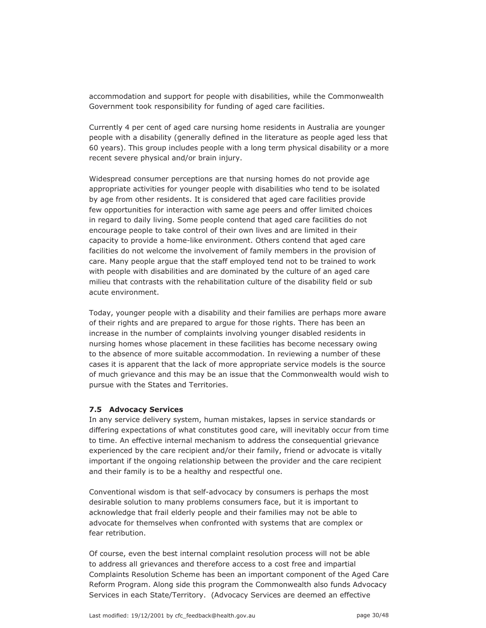accommodation and support for people with disabilities, while the Commonwealth Government took responsibility for funding of aged care facilities.

Currently 4 per cent of aged care nursing home residents in Australia are younger people with a disability (generally defined in the literature as people aged less that 60 years). This group includes people with a long term physical disability or a more recent severe physical and/or brain injury.

Widespread consumer perceptions are that nursing homes do not provide age appropriate activities for younger people with disabilities who tend to be isolated by age from other residents. It is considered that aged care facilities provide few opportunities for interaction with same age peers and offer limited choices in regard to daily living. Some people contend that aged care facilities do not encourage people to take control of their own lives and are limited in their capacity to provide a home-like environment. Others contend that aged care facilities do not welcome the involvement of family members in the provision of care. Many people argue that the staff employed tend not to be trained to work with people with disabilities and are dominated by the culture of an aged care milieu that contrasts with the rehabilitation culture of the disability field or sub acute environment.

Today, younger people with a disability and their families are perhaps more aware of their rights and are prepared to argue for those rights. There has been an increase in the number of complaints involving younger disabled residents in nursing homes whose placement in these facilities has become necessary owing to the absence of more suitable accommodation. In reviewing a number of these cases it is apparent that the lack of more appropriate service models is the source of much grievance and this may be an issue that the Commonwealth would wish to pursue with the States and Territories.

#### **7.5 Advocacy Services**

In any service delivery system, human mistakes, lapses in service standards or differing expectations of what constitutes good care, will inevitably occur from time to time. An effective internal mechanism to address the consequential grievance experienced by the care recipient and/or their family, friend or advocate is vitally important if the ongoing relationship between the provider and the care recipient and their family is to be a healthy and respectful one.

Conventional wisdom is that self-advocacy by consumers is perhaps the most desirable solution to many problems consumers face, but it is important to acknowledge that frail elderly people and their families may not be able to advocate for themselves when confronted with systems that are complex or fear retribution.

Of course, even the best internal complaint resolution process will not be able to address all grievances and therefore access to a cost free and impartial Complaints Resolution Scheme has been an important component of the Aged Care Reform Program. Along side this program the Commonwealth also funds Advocacy Services in each State/Territory. (Advocacy Services are deemed an effective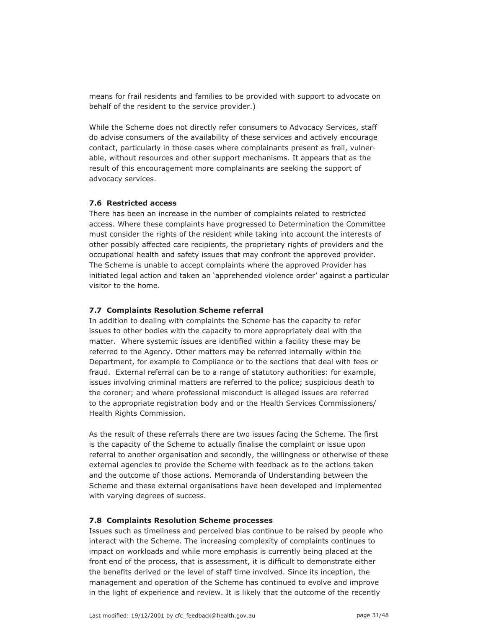means for frail residents and families to be provided with support to advocate on behalf of the resident to the service provider.)

While the Scheme does not directly refer consumers to Advocacy Services, staff do advise consumers of the availability of these services and actively encourage contact, particularly in those cases where complainants present as frail, vulnerable, without resources and other support mechanisms. It appears that as the result of this encouragement more complainants are seeking the support of advocacy services.

#### **7.6 Restricted access**

There has been an increase in the number of complaints related to restricted access. Where these complaints have progressed to Determination the Committee must consider the rights of the resident while taking into account the interests of other possibly affected care recipients, the proprietary rights of providers and the occupational health and safety issues that may confront the approved provider. The Scheme is unable to accept complaints where the approved Provider has initiated legal action and taken an 'apprehended violence order' against a particular visitor to the home.

#### **7.7 Complaints Resolution Scheme referral**

In addition to dealing with complaints the Scheme has the capacity to refer issues to other bodies with the capacity to more appropriately deal with the matter. Where systemic issues are identified within a facility these may be referred to the Agency. Other matters may be referred internally within the Department, for example to Compliance or to the sections that deal with fees or fraud. External referral can be to a range of statutory authorities: for example, issues involving criminal matters are referred to the police; suspicious death to the coroner; and where professional misconduct is alleged issues are referred to the appropriate registration body and or the Health Services Commissioners/ Health Rights Commission.

As the result of these referrals there are two issues facing the Scheme. The first is the capacity of the Scheme to actually finalise the complaint or issue upon referral to another organisation and secondly, the willingness or otherwise of these external agencies to provide the Scheme with feedback as to the actions taken and the outcome of those actions. Memoranda of Understanding between the Scheme and these external organisations have been developed and implemented with varying degrees of success.

#### **7.8 Complaints Resolution Scheme processes**

Issues such as timeliness and perceived bias continue to be raised by people who interact with the Scheme. The increasing complexity of complaints continues to impact on workloads and while more emphasis is currently being placed at the front end of the process, that is assessment, it is difficult to demonstrate either the benefits derived or the level of staff time involved. Since its inception, the management and operation of the Scheme has continued to evolve and improve in the light of experience and review. It is likely that the outcome of the recently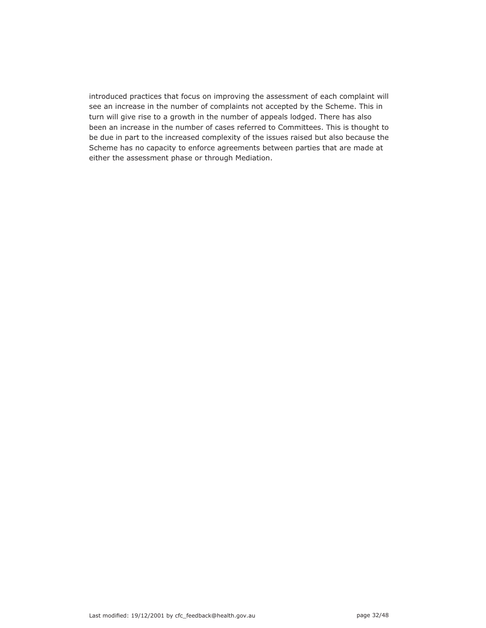introduced practices that focus on improving the assessment of each complaint will see an increase in the number of complaints not accepted by the Scheme. This in turn will give rise to a growth in the number of appeals lodged. There has also been an increase in the number of cases referred to Committees. This is thought to be due in part to the increased complexity of the issues raised but also because the Scheme has no capacity to enforce agreements between parties that are made at either the assessment phase or through Mediation.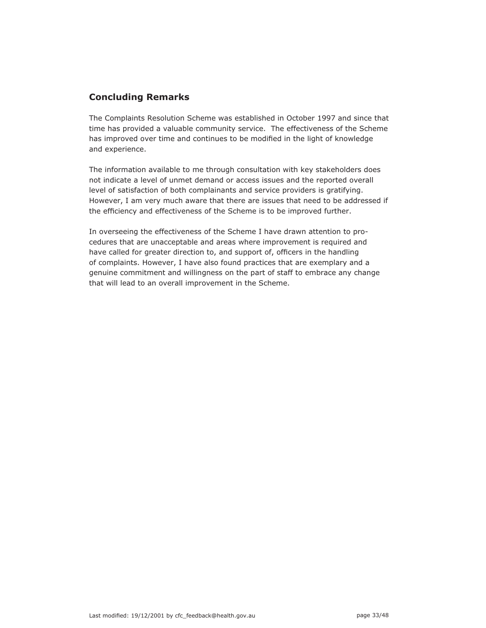# **Concluding Remarks**

The Complaints Resolution Scheme was established in October 1997 and since that time has provided a valuable community service. The effectiveness of the Scheme has improved over time and continues to be modified in the light of knowledge and experience.

The information available to me through consultation with key stakeholders does not indicate a level of unmet demand or access issues and the reported overall level of satisfaction of both complainants and service providers is gratifying. However, I am very much aware that there are issues that need to be addressed if the efficiency and effectiveness of the Scheme is to be improved further.

In overseeing the effectiveness of the Scheme I have drawn attention to procedures that are unacceptable and areas where improvement is required and have called for greater direction to, and support of, officers in the handling of complaints. However, I have also found practices that are exemplary and a genuine commitment and willingness on the part of staff to embrace any change that will lead to an overall improvement in the Scheme.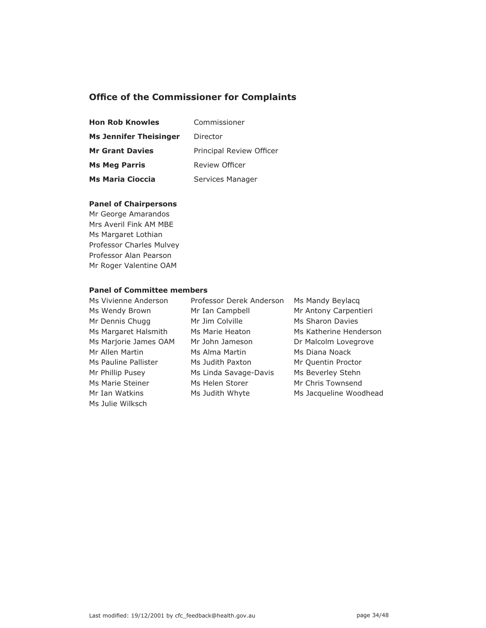# **Office of the Commissioner for Complaints**

| <b>Hon Rob Knowles</b>        | Commissioner             |  |  |
|-------------------------------|--------------------------|--|--|
| <b>Ms Jennifer Theisinger</b> | Director                 |  |  |
| <b>Mr Grant Davies</b>        | Principal Review Officer |  |  |
| <b>Ms Meg Parris</b>          | Review Officer           |  |  |
| <b>Ms Maria Cioccia</b>       | Services Manager         |  |  |

### **Panel of Chairpersons**

Mr George Amarandos Mrs Averil Fink AM MBE Ms Margaret Lothian Professor Charles Mulvey Professor Alan Pearson Mr Roger Valentine OAM

## **Panel of Committee members**

| Ms Vivienne Anderson  |
|-----------------------|
| Ms Wendy Brown        |
| Mr Dennis Chugg       |
| Ms Margaret Halsmith  |
| Ms Marjorie James OAM |
| Mr Allen Martin       |
| Ms Pauline Pallister  |
| Mr Phillip Pusey      |
| Ms Marie Steiner      |
| Mr Tan Watkins        |
| Ms Julie Wilksch      |

Professor Derek Anderson Ms Mandy Beylacq Mr Ian Campbell Mr Antony Carpentieri Mr Jim Colville Ms Sharon Davies Mr John Jameson Dr Malcolm Lovegrove Ms Alma Martin Ms Diana Noack Ms Judith Paxton Mr Quentin Proctor Ms Linda Savage-Davis Ms Beverley Stehn Ms Helen Storer Mr Chris Townsend

Ms Marie Heaton Ms Katherine Henderson Ms Judith Whyte Ms Jacqueline Woodhead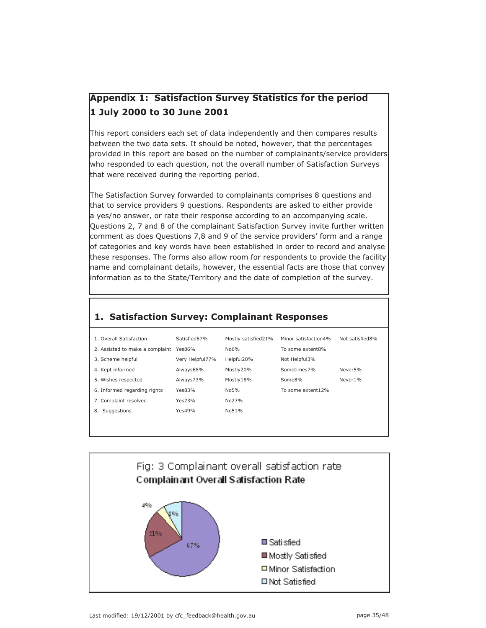# **Appendix 1: Satisfaction Survey Statistics for the period 1 July 2000 to 30 June 2001**

This report considers each set of data independently and then compares results between the two data sets. It should be noted, however, that the percentages provided in this report are based on the number of complainants/service providers who responded to each question, not the overall number of Satisfaction Surveys that were received during the reporting period.

The Satisfaction Survey forwarded to complainants comprises 8 questions and that to service providers 9 questions. Respondents are asked to either provide a yes/no answer, or rate their response according to an accompanying scale. Questions 2, 7 and 8 of the complainant Satisfaction Survey invite further written comment as does Questions 7,8 and 9 of the service providers' form and a range of categories and key words have been established in order to record and analyse these responses. The forms also allow room for respondents to provide the facility name and complainant details, however, the essential facts are those that convey information as to the State/Territory and the date of completion of the survey.

# **1. Satisfaction Survey: Complainant Responses**

| 1. Overall Satisfaction         | Satisfied67%    | Mostly satisfied21% | Minor satisfaction4% | Not satisfied8%     |
|---------------------------------|-----------------|---------------------|----------------------|---------------------|
| 2. Assisted to make a complaint | Yes86%          | No6%                | To some extent8%     |                     |
| 3. Scheme helpful               | Very Helpful77% | Helpful20%          | Not Helpful3%        |                     |
| 4. Kept informed                | Always68%       | Mostly20%           | Sometimes7%          | Never <sub>5%</sub> |
| 5. Wishes respected             | Always73%       | Mostly18%           | Some8%               | Never1%             |
| 6. Informed regarding rights    | Yes83%          | N <sub>0</sub> 5%   | To some extent12%    |                     |
| 7. Complaint resolved           | Yes73%          | No27%               |                      |                     |
| Suggestions<br>8.               | Yes49%          | No51%               |                      |                     |
|                                 |                 |                     |                      |                     |



Last modified: 19/12/2001 by cfc\_feedback@health.gov.au page 35/48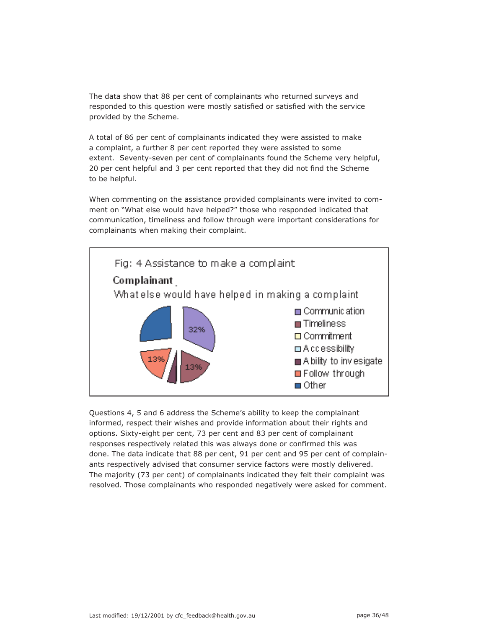The data show that 88 per cent of complainants who returned surveys and responded to this question were mostly satisfied or satisfied with the service provided by the Scheme.

A total of 86 per cent of complainants indicated they were assisted to make a complaint, a further 8 per cent reported they were assisted to some extent. Seventy-seven per cent of complainants found the Scheme very helpful, 20 per cent helpful and 3 per cent reported that they did not find the Scheme to be helpful.

When commenting on the assistance provided complainants were invited to comment on "What else would have helped?" those who responded indicated that communication, timeliness and follow through were important considerations for complainants when making their complaint.



Questions 4, 5 and 6 address the Scheme's ability to keep the complainant informed, respect their wishes and provide information about their rights and options. Sixty-eight per cent, 73 per cent and 83 per cent of complainant responses respectively related this was always done or confirmed this was done. The data indicate that 88 per cent, 91 per cent and 95 per cent of complainants respectively advised that consumer service factors were mostly delivered. The majority (73 per cent) of complainants indicated they felt their complaint was resolved. Those complainants who responded negatively were asked for comment.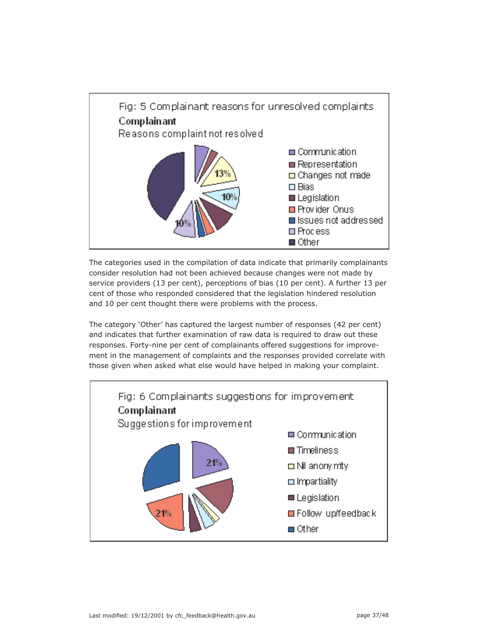

The categories used in the compilation of data indicate that primarily complainants consider resolution had not been achieved because changes were not made by service providers (13 per cent), perceptions of bias (10 per cent). A further 13 per cent of those who responded considered that the legislation hindered resolution and 10 per cent thought there were problems with the process.

The category 'Other' has captured the largest number of responses (42 per cent) and indicates that further examination of raw data is required to draw out these responses. Forty-nine per cent of complainants offered suggestions for improvement in the management of complaints and the responses provided correlate with those given when asked what else would have helped in making your complaint.

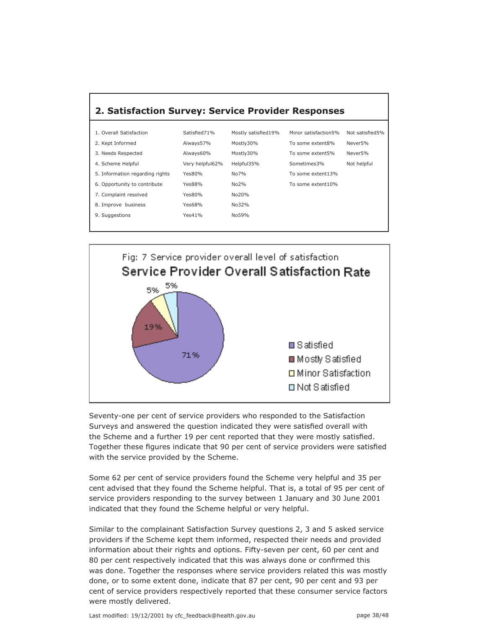| 2. Satisfaction Survey: Service Provider Responses |                 |                     |                      |                 |
|----------------------------------------------------|-----------------|---------------------|----------------------|-----------------|
|                                                    |                 |                     |                      |                 |
| 1. Overall Satisfaction                            | Satisfied71%    | Mostly satisfied19% | Minor satisfaction5% | Not satisfied5% |
| 2. Kept Informed                                   | Always57%       | Mostly30%           | To some extent8%     | Never5%         |
| 3. Needs Respected                                 | Always60%       | Mostly30%           | To some extent5%     | Never5%         |
| 4. Scheme Helpful                                  | Very helpful62% | Helpful35%          | Sometimes3%          | Not helpful     |
| 5. Information regarding rights                    | Yes $80%$       | $No7\%$             | To some extent13%    |                 |
| 6. Opportunity to contribute                       | Yes88%          | No2%                | To some extent10%    |                 |
| 7. Complaint resolved                              | Yes80%          | No20%               |                      |                 |
| 8. Improve business                                | Yes68%          | No32%               |                      |                 |
| 9. Suggestions                                     | Yes41%          | No59%               |                      |                 |
|                                                    |                 |                     |                      |                 |



Seventy-one per cent of service providers who responded to the Satisfaction Surveys and answered the question indicated they were satisfied overall with the Scheme and a further 19 per cent reported that they were mostly satisfied. Together these figures indicate that 90 per cent of service providers were satisfied with the service provided by the Scheme.

Some 62 per cent of service providers found the Scheme very helpful and 35 per cent advised that they found the Scheme helpful. That is, a total of 95 per cent of service providers responding to the survey between 1 January and 30 June 2001 indicated that they found the Scheme helpful or very helpful.

Similar to the complainant Satisfaction Survey questions 2, 3 and 5 asked service providers if the Scheme kept them informed, respected their needs and provided information about their rights and options. Fifty-seven per cent, 60 per cent and 80 per cent respectively indicated that this was always done or confirmed this was done. Together the responses where service providers related this was mostly done, or to some extent done, indicate that 87 per cent, 90 per cent and 93 per cent of service providers respectively reported that these consumer service factors were mostly delivered.

Last modified: 19/12/2001 by cfc\_feedback@health.gov.au bage 38/48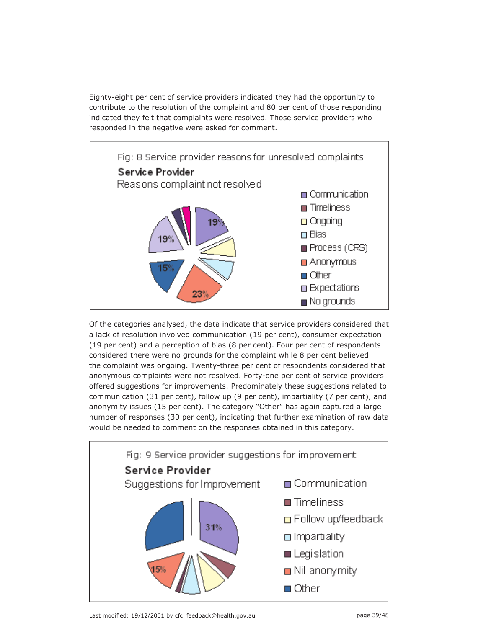Eighty-eight per cent of service providers indicated they had the opportunity to contribute to the resolution of the complaint and 80 per cent of those responding indicated they felt that complaints were resolved. Those service providers who responded in the negative were asked for comment.



Of the categories analysed, the data indicate that service providers considered that a lack of resolution involved communication (19 per cent), consumer expectation (19 per cent) and a perception of bias (8 per cent). Four per cent of respondents considered there were no grounds for the complaint while 8 per cent believed the complaint was ongoing. Twenty-three per cent of respondents considered that anonymous complaints were not resolved. Forty-one per cent of service providers offered suggestions for improvements. Predominately these suggestions related to communication (31 per cent), follow up (9 per cent), impartiality (7 per cent), and anonymity issues (15 per cent). The category "Other" has again captured a large number of responses (30 per cent), indicating that further examination of raw data would be needed to comment on the responses obtained in this category.



Last modified: 19/12/2001 by cfc\_feedback@health.gov.au bage 39/48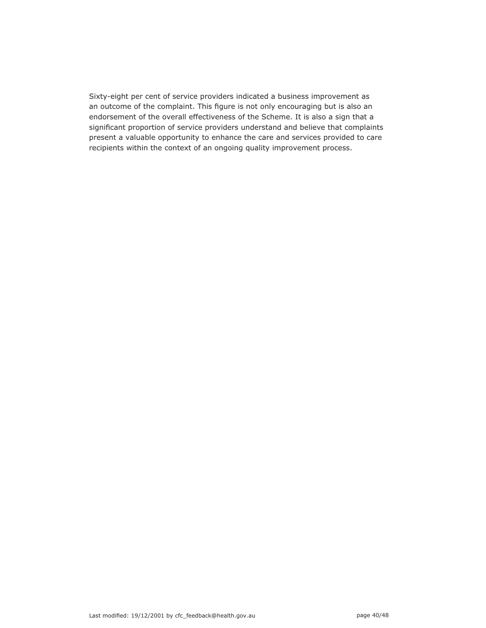Sixty-eight per cent of service providers indicated a business improvement as an outcome of the complaint. This figure is not only encouraging but is also an endorsement of the overall effectiveness of the Scheme. It is also a sign that a significant proportion of service providers understand and believe that complaints present a valuable opportunity to enhance the care and services provided to care recipients within the context of an ongoing quality improvement process.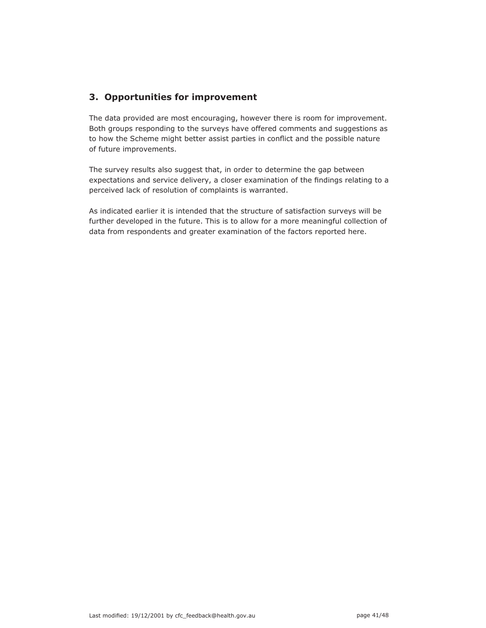# **3. Opportunities for improvement**

The data provided are most encouraging, however there is room for improvement. Both groups responding to the surveys have offered comments and suggestions as to how the Scheme might better assist parties in conflict and the possible nature of future improvements.

The survey results also suggest that, in order to determine the gap between expectations and service delivery, a closer examination of the findings relating to a perceived lack of resolution of complaints is warranted.

As indicated earlier it is intended that the structure of satisfaction surveys will be further developed in the future. This is to allow for a more meaningful collection of data from respondents and greater examination of the factors reported here.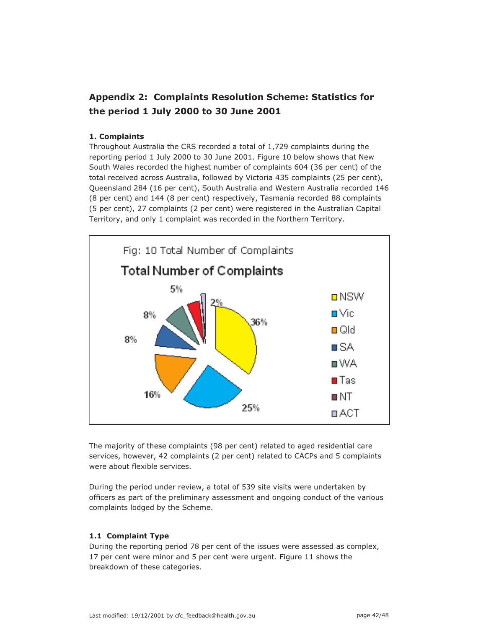# **Appendix 2: Complaints Resolution Scheme: Statistics for the period 1 July 2000 to 30 June 2001**

## **1. Complaints**

Throughout Australia the CRS recorded a total of 1,729 complaints during the reporting period 1 July 2000 to 30 June 2001. Figure 10 below shows that New South Wales recorded the highest number of complaints 604 (36 per cent) of the total received across Australia, followed by Victoria 435 complaints (25 per cent), Queensland 284 (16 per cent), South Australia and Western Australia recorded 146 (8 per cent) and 144 (8 per cent) respectively, Tasmania recorded 88 complaints (5 per cent), 27 complaints (2 per cent) were registered in the Australian Capital Territory, and only 1 complaint was recorded in the Northern Territory.



The majority of these complaints (98 per cent) related to aged residential care services, however, 42 complaints (2 per cent) related to CACPs and 5 complaints were about flexible services.

During the period under review, a total of 539 site visits were undertaken by officers as part of the preliminary assessment and ongoing conduct of the various complaints lodged by the Scheme.

## **1.1 Complaint Type**

During the reporting period 78 per cent of the issues were assessed as complex, 17 per cent were minor and 5 per cent were urgent. Figure 11 shows the breakdown of these categories.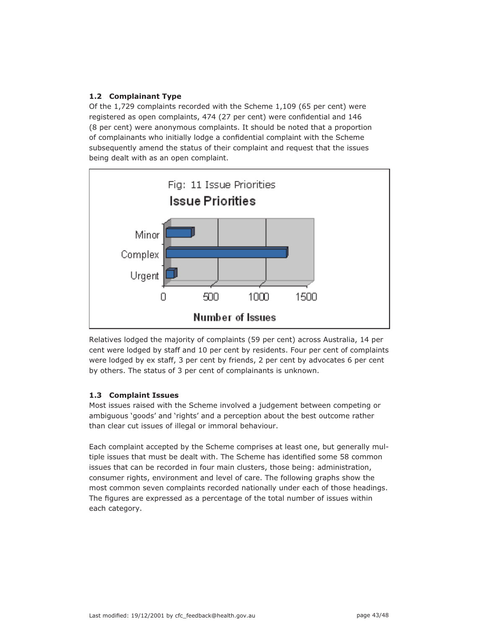# **1.2 Complainant Type**

Of the 1,729 complaints recorded with the Scheme 1,109 (65 per cent) were registered as open complaints, 474 (27 per cent) were confidential and 146 (8 per cent) were anonymous complaints. It should be noted that a proportion of complainants who initially lodge a confidential complaint with the Scheme subsequently amend the status of their complaint and request that the issues being dealt with as an open complaint.



Relatives lodged the majority of complaints (59 per cent) across Australia, 14 per cent were lodged by staff and 10 per cent by residents. Four per cent of complaints were lodged by ex staff, 3 per cent by friends, 2 per cent by advocates 6 per cent by others. The status of 3 per cent of complainants is unknown.

## **1.3 Complaint Issues**

Most issues raised with the Scheme involved a judgement between competing or ambiguous 'goods' and 'rights' and a perception about the best outcome rather than clear cut issues of illegal or immoral behaviour.

Each complaint accepted by the Scheme comprises at least one, but generally multiple issues that must be dealt with. The Scheme has identified some 58 common issues that can be recorded in four main clusters, those being: administration, consumer rights, environment and level of care. The following graphs show the most common seven complaints recorded nationally under each of those headings. The figures are expressed as a percentage of the total number of issues within each category.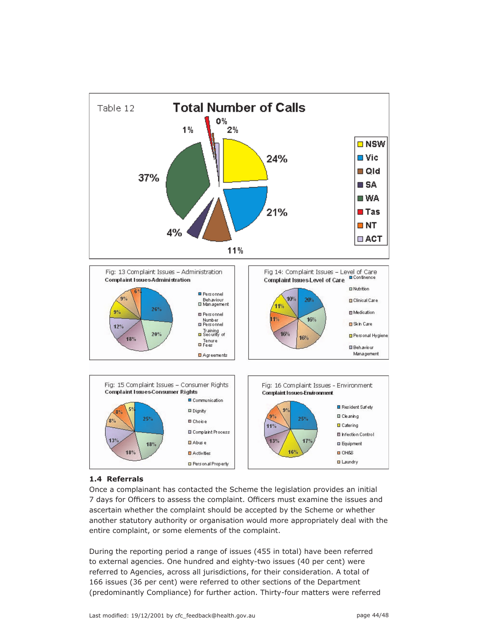

## **1.4 Referrals**

Once a complainant has contacted the Scheme the legislation provides an initial 7 days for Officers to assess the complaint. Officers must examine the issues and ascertain whether the complaint should be accepted by the Scheme or whether another statutory authority or organisation would more appropriately deal with the entire complaint, or some elements of the complaint.

During the reporting period a range of issues (455 in total) have been referred to external agencies. One hundred and eighty-two issues (40 per cent) were referred to Agencies, across all jurisdictions, for their consideration. A total of 166 issues (36 per cent) were referred to other sections of the Department (predominantly Compliance) for further action. Thirty-four matters were referred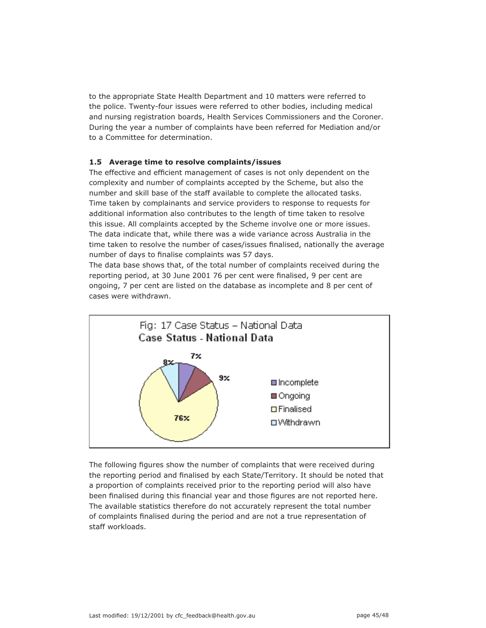to the appropriate State Health Department and 10 matters were referred to the police. Twenty-four issues were referred to other bodies, including medical and nursing registration boards, Health Services Commissioners and the Coroner. During the year a number of complaints have been referred for Mediation and/or to a Committee for determination.

## **1.5 Average time to resolve complaints/issues**

The effective and efficient management of cases is not only dependent on the complexity and number of complaints accepted by the Scheme, but also the number and skill base of the staff available to complete the allocated tasks. Time taken by complainants and service providers to response to requests for additional information also contributes to the length of time taken to resolve this issue. All complaints accepted by the Scheme involve one or more issues. The data indicate that, while there was a wide variance across Australia in the time taken to resolve the number of cases/issues finalised, nationally the average number of days to finalise complaints was 57 days.

The data base shows that, of the total number of complaints received during the reporting period, at 30 June 2001 76 per cent were finalised, 9 per cent are ongoing, 7 per cent are listed on the database as incomplete and 8 per cent of cases were withdrawn.



The following figures show the number of complaints that were received during the reporting period and finalised by each State/Territory. It should be noted that a proportion of complaints received prior to the reporting period will also have been finalised during this financial year and those figures are not reported here. The available statistics therefore do not accurately represent the total number of complaints finalised during the period and are not a true representation of staff workloads.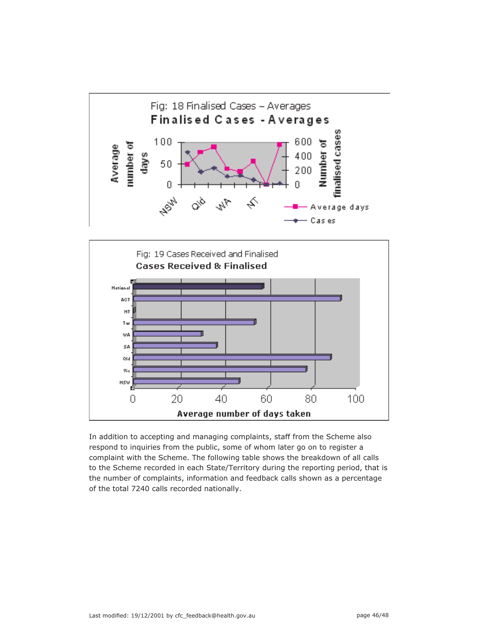



In addition to accepting and managing complaints, staff from the Scheme also respond to inquiries from the public, some of whom later go on to register a complaint with the Scheme. The following table shows the breakdown of all calls to the Scheme recorded in each State/Territory during the reporting period, that is the number of complaints, information and feedback calls shown as a percentage of the total 7240 calls recorded nationally.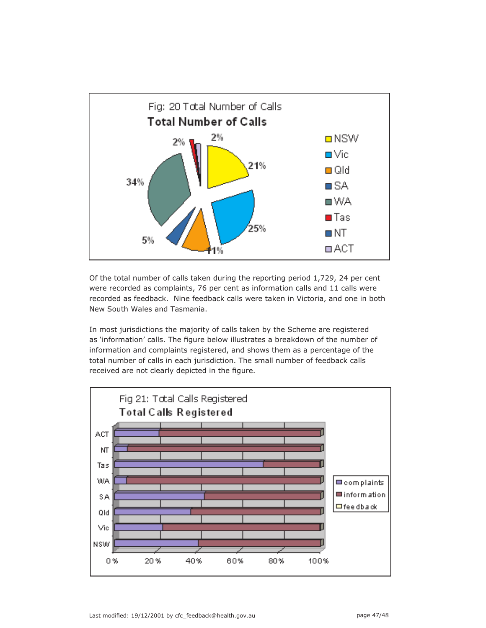

Of the total number of calls taken during the reporting period 1,729, 24 per cent were recorded as complaints, 76 per cent as information calls and 11 calls were recorded as feedback. Nine feedback calls were taken in Victoria, and one in both New South Wales and Tasmania.

In most jurisdictions the majority of calls taken by the Scheme are registered as 'information' calls. The figure below illustrates a breakdown of the number of information and complaints registered, and shows them as a percentage of the total number of calls in each jurisdiction. The small number of feedback calls received are not clearly depicted in the figure.